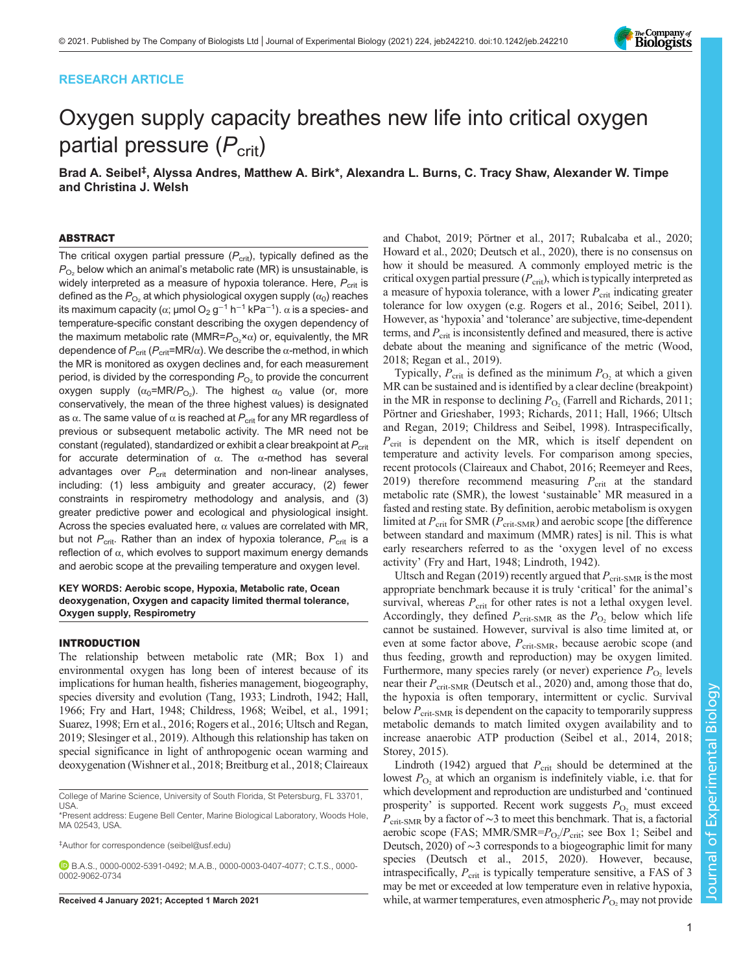# RESEARCH ARTICLE



# Oxygen supply capacity breathes new life into critical oxygen partial pressure  $(P_{\text{crit}})$

Brad A. Seibel<sup>‡</sup>, Alyssa Andres, Matthew A. Birk\*, Alexandra L. Burns, C. Tracy Shaw, Alexander W. Timpe and Christina J. Welsh

# ABSTRACT

The critical oxygen partial pressure  $(P_{\text{crit}})$ , typically defined as the  $P_{\text{O}_2}$  below which an animal's metabolic rate (MR) is unsustainable, is widely interpreted as a measure of hypoxia tolerance. Here,  $P_{\text{crit}}$  is defined as the  $P_{\text{O}_2}$  at which physiological oxygen supply ( $\alpha_0$ ) reaches its maximum capacity (α; μmol O $_2$  g<sup>−1</sup> h<sup>−1</sup> kPa<sup>−1</sup>).  $\alpha$  is a species- and temperature-specific constant describing the oxygen dependency of the maximum metabolic rate (MMR= $P_{O_2}$ × $\alpha$ ) or, equivalently, the MR dependence of  $P_{\text{crit}}$  ( $P_{\text{crit}}$ =MR/ $\alpha$ ). We describe the  $\alpha$ -method, in which the MR is monitored as oxygen declines and, for each measurement period, is divided by the corresponding  $P_{O_2}$  to provide the concurrent oxygen supply ( $α_0$ =MR/ $P_{\mathrm{O}_2}$ ). The highest  $α_0$  value (or, more conservatively, the mean of the three highest values) is designated as  $\alpha$ . The same value of  $\alpha$  is reached at  $P_{\text{crit}}$  for any MR regardless of previous or subsequent metabolic activity. The MR need not be constant (regulated), standardized or exhibit a clear breakpoint at  $P_{\text{crit}}$ for accurate determination of α. The α-method has several advantages over  $P_{\text{crit}}$  determination and non-linear analyses, including: (1) less ambiguity and greater accuracy, (2) fewer constraints in respirometry methodology and analysis, and (3) greater predictive power and ecological and physiological insight. Across the species evaluated here,  $\alpha$  values are correlated with MR, but not  $P_{\text{crit}}$ . Rather than an index of hypoxia tolerance,  $P_{\text{crit}}$  is a reflection of  $\alpha$ , which evolves to support maximum energy demands and aerobic scope at the prevailing temperature and oxygen level.

# KEY WORDS: Aerobic scope, Hypoxia, Metabolic rate, Ocean deoxygenation, Oxygen and capacity limited thermal tolerance, Oxygen supply, Respirometry

## INTRODUCTION

The relationship between metabolic rate (MR; [Box 1](#page-1-0)) and environmental oxygen has long been of interest because of its implications for human health, fisheries management, biogeography, species diversity and evolution ([Tang, 1933;](#page-11-0) [Lindroth, 1942; Hall,](#page-10-0) [1966; Fry and Hart, 1948](#page-10-0); [Childress, 1968](#page-9-0); [Weibel, et al., 1991](#page-11-0); [Suarez, 1998;](#page-11-0) [Ern et al., 2016; Rogers et al., 2016](#page-10-0); [Ultsch and Regan,](#page-11-0) [2019;](#page-11-0) [Slesinger et al., 2019\)](#page-10-0). Although this relationship has taken on special significance in light of anthropogenic ocean warming and deoxygenation [\(Wishner et al., 2018](#page-11-0); [Breitburg et al., 2018](#page-9-0); [Claireaux](#page-10-0)

‡ Author for correspondence ([seibel@usf.edu\)](mailto:seibel@usf.edu)

B.A.S., [0000-0002-5391-0492](http://orcid.org/0000-0002-5391-0492); M.A.B., [0000-0003-0407-4077](http://orcid.org/0000-0003-0407-4077); C.T.S., [0000-](http://orcid.org/0000-0002-9062-0734) [0002-9062-0734](http://orcid.org/0000-0002-9062-0734)

[and Chabot, 2019](#page-10-0); [Pörtner et al., 2017; Rubalcaba et al., 2020](#page-10-0); [Howard et al., 2020; Deutsch et al., 2020](#page-10-0)), there is no consensus on how it should be measured. A commonly employed metric is the critical oxygen partial pressure  $(P_{\text{crit}})$ , which is typically interpreted as a measure of hypoxia tolerance, with a lower  $P_{\text{crit}}$  indicating greater tolerance for low oxygen (e.g. [Rogers et al., 2016; Seibel, 2011\)](#page-10-0). However, as'hypoxia' and 'tolerance' are subjective, time-dependent terms, and  $P_{\rm crit}$  is inconsistently defined and measured, there is active debate about the meaning and significance of the metric [\(Wood,](#page-11-0) [2018;](#page-11-0) [Regan et al., 2019\)](#page-10-0).

Typically,  $P_{\text{crit}}$  is defined as the minimum  $P_{\text{O}_2}$  at which a given MR can be sustained and is identified by a clear decline (breakpoint) in the MR in response to declining  $P_{\text{O}_2}$  (Farrell and Richards, 2011; [Pörtner and Grieshaber, 1993; Richards, 2011; Hall, 1966;](#page-10-0) [Ultsch](#page-11-0) [and Regan, 2019](#page-11-0); [Childress and Seibel, 1998\)](#page-9-0). Intraspecifically,  $P_{\text{crit}}$  is dependent on the MR, which is itself dependent on temperature and activity levels. For comparison among species, recent protocols [\(Claireaux and Chabot, 2016; Reemeyer and Rees,](#page-10-0) [2019\)](#page-10-0) therefore recommend measuring  $P_{\text{crit}}$  at the standard metabolic rate (SMR), the lowest 'sustainable' MR measured in a fasted and resting state. By definition, aerobic metabolism is oxygen limited at  $P_{\text{crit}}$  for SMR ( $P_{\text{crit-SMR}}$ ) and aerobic scope [the difference between standard and maximum (MMR) rates] is nil. This is what early researchers referred to as the 'oxygen level of no excess activity' ([Fry and Hart, 1948](#page-10-0); [Lindroth, 1942](#page-10-0)).

[Ultsch and Regan \(2019\)](#page-11-0) recently argued that  $P_{\text{crit-SMR}}$  is the most appropriate benchmark because it is truly 'critical' for the animal's survival, whereas  $P_{\rm crit}$  for other rates is not a lethal oxygen level. Accordingly, they defined  $P_{\text{crit-SMR}}$  as the  $P_{\text{O}_2}$  below which life cannot be sustained. However, survival is also time limited at, or even at some factor above,  $P_{\text{crit-SMR}}$ , because aerobic scope (and thus feeding, growth and reproduction) may be oxygen limited. Furthermore, many species rarely (or never) experience  $P_{\text{O}_2}$  levels near their  $P_{\text{crit-SMR}}$  [\(Deutsch et al., 2020](#page-10-0)) and, among those that do, the hypoxia is often temporary, intermittent or cyclic. Survival below  $P_{\text{crit-SMR}}$  is dependent on the capacity to temporarily suppress metabolic demands to match limited oxygen availability and to increase anaerobic ATP production ([Seibel et al., 2014](#page-10-0), [2018](#page-10-0); [Storey, 2015](#page-11-0)).

[Lindroth \(1942\)](#page-10-0) argued that  $P_{\text{crit}}$  should be determined at the lowest  $P_{\text{O}_2}$  at which an organism is indefinitely viable, i.e. that for which development and reproduction are undisturbed and 'continued prosperity' is supported. Recent work suggests  $P_{\text{O}_2}$  must exceed  $P_{\text{crit-SMR}}$  by a factor of ~3 to meet this benchmark. That is, a factorial aerobic scope (FAS; MMR/SMR= $P_{O_2}/P_{\text{crit}}$ ; see [Box 1](#page-1-0); [Seibel and](#page-10-0) [Deutsch, 2020](#page-10-0)) of ∼3 corresponds to a biogeographic limit for many species [\(Deutsch et al., 2015, 2020\)](#page-10-0). However, because, intraspecifically,  $P_{\text{crit}}$  is typically temperature sensitive, a FAS of 3 may be met or exceeded at low temperature even in relative hypoxia, Received 4 January 2021; Accepted 1 March 2021 while, at warmer temperatures, even atmospheric  $P_{\text{O}}$ , may not provide

College of Marine Science, University of South Florida, St Petersburg, FL 33701, USA.

<sup>\*</sup>Present address: Eugene Bell Center, Marine Biological Laboratory, Woods Hole, MA 02543, USA.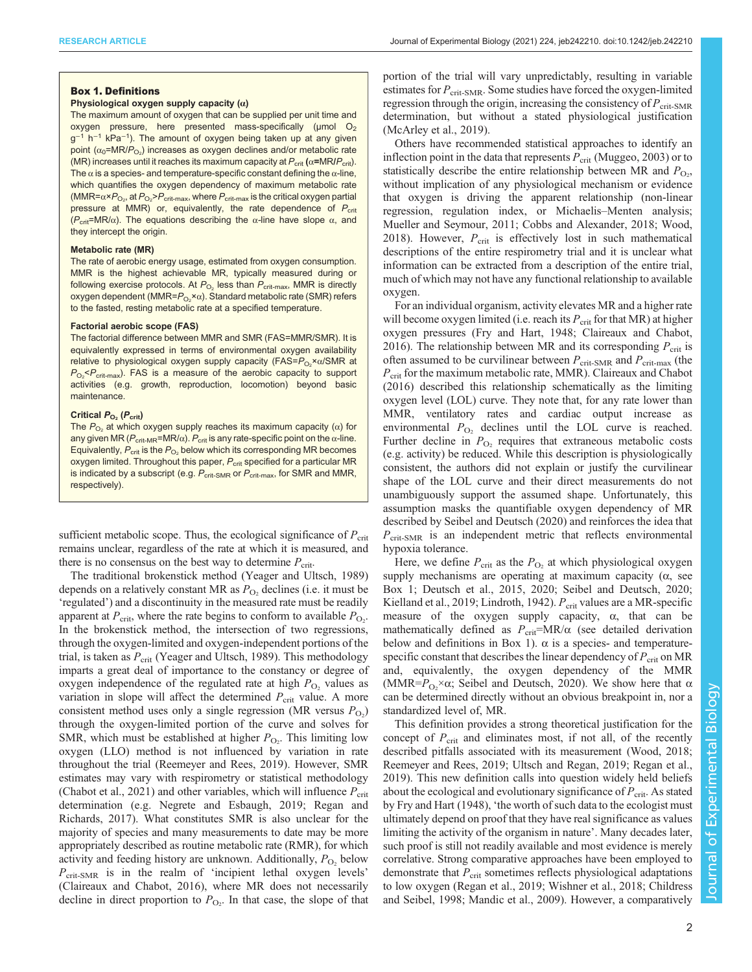# <span id="page-1-0"></span>Box 1. Definitions

#### Physiological oxygen supply capacity  $(\alpha)$

The maximum amount of oxygen that can be supplied per unit time and oxygen pressure, here presented mass-specifically ( $\mu$ mol O<sub>2</sub> g<sup>-1</sup> h<sup>-1</sup> kPa<sup>-1</sup>). The amount of oxygen being taken up at any given point ( $\alpha_0$ =MR/ $P_{\rm O_2}$ ) increases as oxygen declines and/or metabolic rate (MR) increases until it reaches its maximum capacity at  $P_{\text{crit}}$  ( $\alpha$ =MR/ $P_{\text{crit}}$ ). The  $\alpha$  is a species- and temperature-specific constant defining the  $\alpha$ -line, which quantifies the oxygen dependency of maximum metabolic rate (MMR= $\alpha{\times}P_{\mathrm{O}_2}$ , at  $P_{\mathrm{O}_2}{>}P_{\mathrm{crit-max}}$ , where  $P_{\mathrm{crit-max}}$  is the critical oxygen partial pressure at MMR) or, equivalently, the rate dependence of  $P_{\text{crit}}$ ( $P_{\text{crit}}$ =MR/ $\alpha$ ). The equations describing the  $\alpha$ -line have slope  $\alpha$ , and they intercept the origin.

### Metabolic rate (MR)

The rate of aerobic energy usage, estimated from oxygen consumption. MMR is the highest achievable MR, typically measured during or following exercise protocols. At  $P_{\text{O}_2}$  less than  $P_{\text{crit-max}}$ , MMR is directly oxygen dependent (MMR= $P_{\mathrm{O}_2}$ × $\alpha$ ). Standard metabolic rate (SMR) refers to the fasted, resting metabolic rate at a specified temperature.

#### Factorial aerobic scope (FAS)

The factorial difference between MMR and SMR (FAS=MMR/SMR). It is equivalently expressed in terms of environmental oxygen availability relative to physiological oxygen supply capacity (FAS= $P_{\mathrm{O}_2}$ × $\alpha$ /SMR at  $P_{\text{O}_2}$ < $P_{\text{crit-max}}$ ). FAS is a measure of the aerobic capacity to support activities (e.g. growth, reproduction, locomotion) beyond basic maintenance.

#### Critical  $P_{O_2}$  ( $P_{\text{crit}}$ )

The  $P_{\text{O}_2}$  at which oxygen supply reaches its maximum capacity ( $\alpha$ ) for any given MR ( $P_{\text{crit-MR}}$ =MR/ $\alpha$ ).  $P_{\text{crit}}$  is any rate-specific point on the  $\alpha$ -line. Equivalently,  $P_{\text{crit}}$  is the  $P_{\text{O}_2}$  below which its corresponding MR becomes oxygen limited. Throughout this paper,  $P_{\text{crit}}$  specified for a particular MR is indicated by a subscript (e.g.  $P_{\text{crit-SMR}}$  or  $P_{\text{crit-max}}$ , for SMR and MMR, respectively).

sufficient metabolic scope. Thus, the ecological significance of  $P_{\text{crit}}$ remains unclear, regardless of the rate at which it is measured, and there is no consensus on the best way to determine  $P_{\text{crit}}$ .

The traditional brokenstick method ([Yeager and Ultsch, 1989\)](#page-11-0) depends on a relatively constant MR as  $P_{\text{O}_2}$  declines (i.e. it must be 'regulated') and a discontinuity in the measured rate must be readily apparent at  $P_{\text{crit}}$ , where the rate begins to conform to available  $P_{\text{O}_2}$ . In the brokenstick method, the intersection of two regressions, through the oxygen-limited and oxygen-independent portions of the trial, is taken as  $P_{\rm crit}$  ([Yeager and Ultsch, 1989](#page-11-0)). This methodology imparts a great deal of importance to the constancy or degree of oxygen independence of the regulated rate at high  $P_{\text{O}_2}$  values as variation in slope will affect the determined  $P_{\text{crit}}$  value. A more consistent method uses only a single regression (MR versus  $P_{\text{O}_2}$ ) through the oxygen-limited portion of the curve and solves for SMR, which must be established at higher  $P_{\text{O}_2}$ . This limiting low oxygen (LLO) method is not influenced by variation in rate throughout the trial ([Reemeyer and Rees, 2019\)](#page-10-0). However, SMR estimates may vary with respirometry or statistical methodology [\(Chabot et al., 2021\)](#page-9-0) and other variables, which will influence  $P_{\rm crit}$ determination (e.g. [Negrete and Esbaugh, 2019; Regan and](#page-10-0) [Richards, 2017](#page-10-0)). What constitutes SMR is also unclear for the majority of species and many measurements to date may be more appropriately described as routine metabolic rate (RMR), for which activity and feeding history are unknown. Additionally,  $P_{\text{O}_2}$  below  $P_{\text{crit-SMR}}$  is in the realm of 'incipient lethal oxygen levels' [\(Claireaux and Chabot, 2016](#page-10-0)), where MR does not necessarily decline in direct proportion to  $P_{\text{O}_2}$ . In that case, the slope of that

portion of the trial will vary unpredictably, resulting in variable estimates for  $P_{\text{crit-SMR}}$ . Some studies have forced the oxygen-limited regression through the origin, increasing the consistency of  $P_{\text{crit-SMR}}$ determination, but without a stated physiological justification [\(McArley et al., 2019\)](#page-10-0).

Others have recommended statistical approaches to identify an inflection point in the data that represents  $P_{\text{crit}}$  ([Muggeo, 2003\)](#page-10-0) or to statistically describe the entire relationship between MR and  $P_{\text{O}_2}$ , without implication of any physiological mechanism or evidence that oxygen is driving the apparent relationship (non-linear regression, regulation index, or Michaelis–Menten analysis; [Mueller and Seymour, 2011; Cobbs and Alexander, 2018](#page-10-0); [Wood,](#page-11-0) [2018\)](#page-11-0). However,  $P_{\text{crit}}$  is effectively lost in such mathematical descriptions of the entire respirometry trial and it is unclear what information can be extracted from a description of the entire trial, much of which may not have any functional relationship to available oxygen.

For an individual organism, activity elevates MR and a higher rate will become oxygen limited (i.e. reach its  $P_{\text{crit}}$  for that MR) at higher oxygen pressures [\(Fry and Hart, 1948; Claireaux and Chabot,](#page-10-0) [2016\)](#page-10-0). The relationship between MR and its corresponding  $P_{\text{crit}}$  is often assumed to be curvilinear between  $P_{\text{crit-SMR}}$  and  $P_{\text{crit-max}}$  (the  $P_{\text{crit}}$  for the maximum metabolic rate, MMR). [Claireaux and Chabot](#page-10-0) [\(2016\)](#page-10-0) described this relationship schematically as the limiting oxygen level (LOL) curve. They note that, for any rate lower than MMR, ventilatory rates and cardiac output increase as environmental  $P_{\text{O}_2}$  declines until the LOL curve is reached. Further decline in  $P_{\text{O}_2}$  requires that extraneous metabolic costs (e.g. activity) be reduced. While this description is physiologically consistent, the authors did not explain or justify the curvilinear shape of the LOL curve and their direct measurements do not unambiguously support the assumed shape. Unfortunately, this assumption masks the quantifiable oxygen dependency of MR described by [Seibel and Deutsch \(2020\)](#page-10-0) and reinforces the idea that  $P_{\text{crit-SMR}}$  is an independent metric that reflects environmental hypoxia tolerance.

Here, we define  $P_{\text{crit}}$  as the  $P_{\text{O}_2}$  at which physiological oxygen supply mechanisms are operating at maximum capacity  $(\alpha, \beta)$ Box 1; [Deutsch et al., 2015, 2020; Seibel and Deutsch, 2020](#page-10-0); [Kielland et al., 2019](#page-10-0); [Lindroth, 1942\)](#page-10-0).  $P_{\text{crit}}$  values are a MR-specific measure of the oxygen supply capacity,  $\alpha$ , that can be mathematically defined as  $P_{\text{crit}} = MR/\alpha$  (see detailed derivation below and definitions in Box 1).  $\alpha$  is a species- and temperaturespecific constant that describes the linear dependency of  $P_{\rm crit}$  on MR and, equivalently, the oxygen dependency of the MMR (MMR= $P_{\text{O}_2} \times \alpha$ ; [Seibel and Deutsch, 2020](#page-10-0)). We show here that  $\alpha$ can be determined directly without an obvious breakpoint in, nor a standardized level of, MR.

This definition provides a strong theoretical justification for the concept of  $P_{\rm crit}$  and eliminates most, if not all, of the recently described pitfalls associated with its measurement ([Wood, 2018](#page-11-0); [Reemeyer and Rees, 2019;](#page-10-0) [Ultsch and Regan, 2019](#page-11-0); [Regan et al.,](#page-10-0) [2019\)](#page-10-0). This new definition calls into question widely held beliefs about the ecological and evolutionary significance of  $P_{\text{crit}}$ . As stated by [Fry and Hart \(1948\),](#page-10-0) 'the worth of such data to the ecologist must ultimately depend on proof that they have real significance as values limiting the activity of the organism in nature'. Many decades later, such proof is still not readily available and most evidence is merely correlative. Strong comparative approaches have been employed to demonstrate that  $P_{\text{crit}}$  sometimes reflects physiological adaptations to low oxygen [\(Regan et al., 2019](#page-10-0); [Wishner et al., 2018](#page-11-0); [Childress](#page-9-0) [and Seibel, 1998](#page-9-0); [Mandic et al., 2009](#page-10-0)). However, a comparatively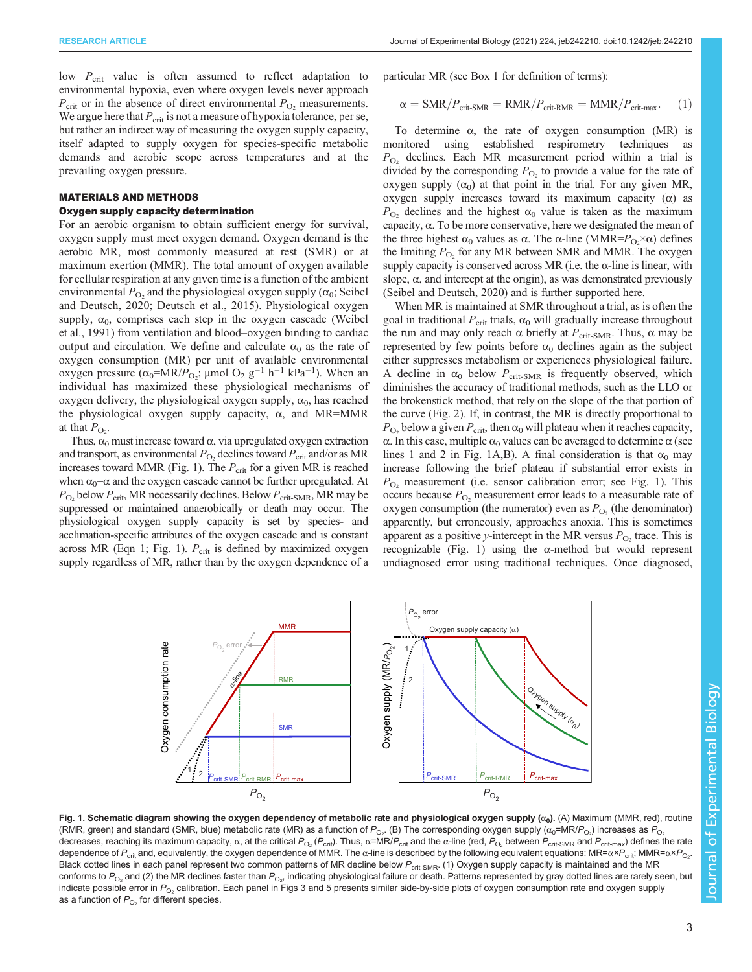<span id="page-2-0"></span>low  $P_{\text{crit}}$  value is often assumed to reflect adaptation to environmental hypoxia, even where oxygen levels never approach  $P_{\text{crit}}$  or in the absence of direct environmental  $P_{\text{O}_2}$  measurements. We argue here that  $P_{\text{crit}}$  is not a measure of hypoxia tolerance, per se, but rather an indirect way of measuring the oxygen supply capacity, itself adapted to supply oxygen for species-specific metabolic demands and aerobic scope across temperatures and at the prevailing oxygen pressure.

# MATERIALS AND METHODS

# Oxygen supply capacity determination

For an aerobic organism to obtain sufficient energy for survival, oxygen supply must meet oxygen demand. Oxygen demand is the aerobic MR, most commonly measured at rest (SMR) or at maximum exertion (MMR). The total amount of oxygen available for cellular respiration at any given time is a function of the ambient environmental  $P_{\text{O}_2}$  and the physiological oxygen supply ( $\alpha_0$ ; [Seibel](#page-10-0) [and Deutsch, 2020; Deutsch et al., 2015\)](#page-10-0). Physiological oxygen supply,  $\alpha_0$ , comprises each step in the oxygen cascade [\(Weibel](#page-11-0) [et al., 1991](#page-11-0)) from ventilation and blood–oxygen binding to cardiac output and circulation. We define and calculate  $\alpha_0$  as the rate of oxygen consumption (MR) per unit of available environmental oxygen pressure ( $\alpha_0$ =MR/ $P_{O_2}$ ; μmol O<sub>2</sub> g<sup>-1</sup> h<sup>-1</sup> kPa<sup>-1</sup>). When an individual has maximized these physiological mechanisms of oxygen delivery, the physiological oxygen supply,  $\alpha_0$ , has reached the physiological oxygen supply capacity,  $\alpha$ , and MR=MMR at that  $P_{\text{O}_2}$ .

Thus,  $\alpha_0$  must increase toward  $\alpha$ , via upregulated oxygen extraction and transport, as environmental  $P_{\text{O}_2}$  declines toward  $P_{\text{crit}}$  and/or as MR increases toward MMR (Fig. 1). The  $P_{\text{crit}}$  for a given MR is reached when  $\alpha_0 = \alpha$  and the oxygen cascade cannot be further upregulated. At  $P_{\text{O}_2}$  below  $P_{\text{crit}}$ , MR necessarily declines. Below  $P_{\text{crit-SMR}}$ , MR may be suppressed or maintained anaerobically or death may occur. The physiological oxygen supply capacity is set by species- and acclimation-specific attributes of the oxygen cascade and is constant across MR (Eqn 1; Fig. 1).  $P_{\text{crit}}$  is defined by maximized oxygen supply regardless of MR, rather than by the oxygen dependence of a

particular MR (see [Box 1](#page-1-0) for definition of terms):

$$
\alpha = \text{SMR}/P_{\text{crit-SMR}} = \text{RMR}/P_{\text{crit-RMR}} = \text{MMR}/P_{\text{crit-max}}.
$$
 (1)

To determine  $\alpha$ , the rate of oxygen consumption (MR) is monitored using established respirometry techniques as  $P_{\text{O}_2}$  declines. Each MR measurement period within a trial is divided by the corresponding  $P_{\text{O}_2}$  to provide a value for the rate of oxygen supply  $(\alpha_0)$  at that point in the trial. For any given MR, oxygen supply increases toward its maximum capacity (α) as  $P_{\text{O}_2}$  declines and the highest  $\alpha_0$  value is taken as the maximum capacity,  $\alpha$ . To be more conservative, here we designated the mean of the three highest  $\alpha_0$  values as  $\alpha$ . The  $\alpha$ -line (MMR= $P_{\text{O}_2} \times \alpha$ ) defines the limiting  $P_{\text{O}_2}$  for any MR between SMR and MMR. The oxygen supply capacity is conserved across MR (i.e. the  $\alpha$ -line is linear, with slope,  $\alpha$ , and intercept at the origin), as was demonstrated previously [\(Seibel and Deutsch, 2020](#page-10-0)) and is further supported here.

When MR is maintained at SMR throughout a trial, as is often the goal in traditional  $P_{\text{crit}}$  trials,  $\alpha_0$  will gradually increase throughout the run and may only reach  $\alpha$  briefly at  $P_{\text{crit-SMR}}$ . Thus,  $\alpha$  may be represented by few points before  $\alpha_0$  declines again as the subject either suppresses metabolism or experiences physiological failure. A decline in  $\alpha_0$  below  $P_{\text{crit-SMR}}$  is frequently observed, which diminishes the accuracy of traditional methods, such as the LLO or the brokenstick method, that rely on the slope of the that portion of the curve [\(Fig. 2](#page-3-0)). If, in contrast, the MR is directly proportional to  $P_{\text{O}_2}$  below a given  $P_{\text{crit}}$ , then  $\alpha_0$  will plateau when it reaches capacity, α. In this case, multiple  $α_0$  values can be averaged to determine  $α$  (see lines 1 and 2 in Fig. 1A,B). A final consideration is that  $\alpha_0$  may increase following the brief plateau if substantial error exists in  $P_{\text{O}_2}$  measurement (i.e. sensor calibration error; see Fig. 1). This occurs because  $P_{\text{O}_2}$  measurement error leads to a measurable rate of oxygen consumption (the numerator) even as  $P_{\text{O}_2}$  (the denominator) apparently, but erroneously, approaches anoxia. This is sometimes apparent as a positive y-intercept in the MR versus  $P_{\text{O}_2}$  trace. This is recognizable (Fig. 1) using the α-method but would represent undiagnosed error using traditional techniques. Once diagnosed,



Fig. 1. Schematic diagram showing the oxygen dependency of metabolic rate and physiological oxygen supply  $(\alpha_0)$ . (A) Maximum (MMR, red), routine (RMR, green) and standard (SMR, blue) metabolic rate (MR) as a function of  $P_{\rm O_2}$ . (B) The corresponding oxygen supply ( $\alpha_0$ =MR/ $P_{\rm O_2}$ ) increases as  $P_{\rm O_2}$ decreases, reaching its maximum capacity,  $\alpha$ , at the critical  $P_{\text{O}_2}$  ( $P_{\text{crit}}$ ). Thus,  $\alpha = MR/P_{\text{crit}}$  and the  $\alpha$ -line (red,  $P_{\text{O}_2}$  between  $P_{\text{crit-SMR}}$  and  $P_{\text{crit-max}}$ ) defines the rate dependence of  $P_{\rm crit}$  and, equivalently, the oxygen dependence of MMR. The α-line is described by the following equivalent equations: MR=α× $P_{\rm crit}$  MMR=α× $P_{\rm O_2}$ . Black dotted lines in each panel represent two common patterns of MR decline below P<sub>crit-SMR</sub>. (1) Oxygen supply capacity is maintained and the MR conforms to  $P_{\rm O_2}$  and (2) the MR declines faster than  $P_{\rm O_2}$ , indicating physiological failure or death. Patterns represented by gray dotted lines are rarely seen, but indicate possible error in  $P_{\text{O}_2}$  calibration. Each panel in [Figs 3](#page-4-0) and [5](#page-6-0) presents similar side-by-side plots of oxygen consumption rate and oxygen supply as a function of  $P_{\text{O}_2}$  for different species.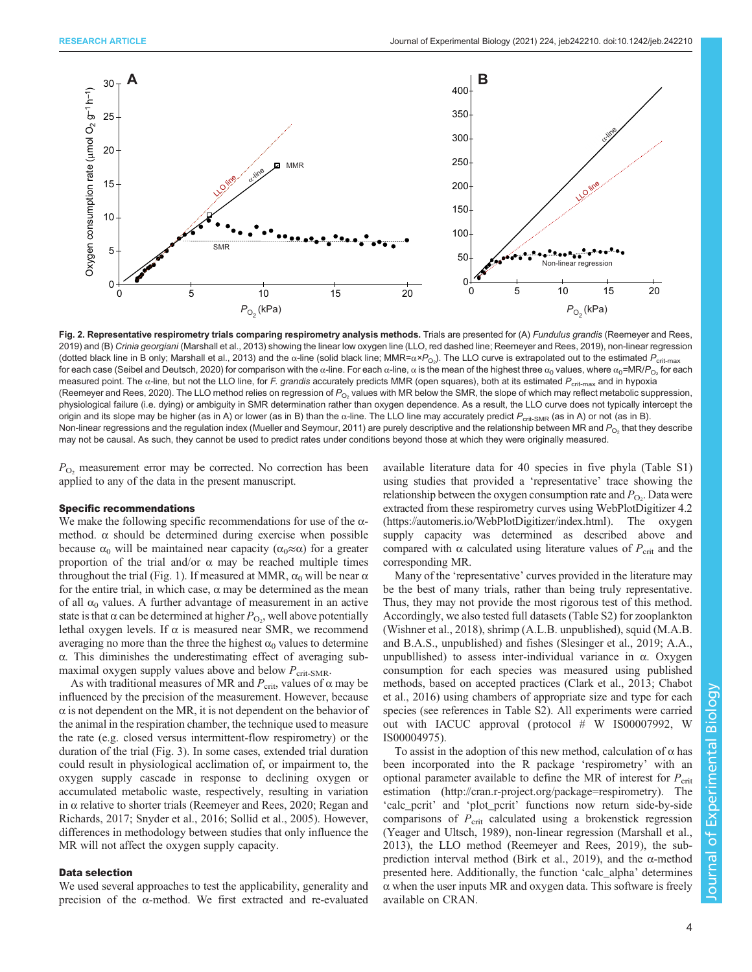<span id="page-3-0"></span>

Fig. 2. Representative respirometry trials comparing respirometry analysis methods. Trials are presented for (A) Fundulus grandis ([Reemeyer and Rees,](#page-10-0) [2019\)](#page-10-0) and (B) Crinia georgiani ([Marshall et al., 2013\)](#page-10-0) showing the linear low oxygen line (LLO, red dashed line; [Reemeyer and Rees, 2019](#page-10-0)), non-linear regression (dotted black line in B only; [Marshall et al., 2013\)](#page-10-0) and the α-line (solid black line; MMR=α×P<sub>O2</sub>). The LLO curve is extrapolated out to the estimated P<sub>crit-max</sub> for each case ([Seibel and Deutsch, 2020\)](#page-10-0) for comparison with the  $\alpha$ -line. For each  $\alpha$ -line,  $\alpha$  is the mean of the highest three  $\alpha_0$  values, where  $\alpha_0$ =MR/P<sub>O</sub>, for each measured point. The α-line, but not the LLO line, for F. grandis accurately predicts MMR (open squares), both at its estimated P<sub>crit-max</sub> and in hypoxia [\(Reemeyer and Rees, 2020\)](#page-10-0). The LLO method relies on regression of  $P_{O_2}$  values with MR below the SMR, the slope of which may reflect metabolic suppression, physiological failure (i.e. dying) or ambiguity in SMR determination rather than oxygen dependence. As a result, the LLO curve does not typically intercept the origin and its slope may be higher (as in A) or lower (as in B) than the  $\alpha$ -line. The LLO line may accurately predict  $P_{\text{crit-SMR}}$  (as in A) or not (as in B). Non-linear regressions and the regulation index ([Mueller and Seymour, 2011\)](#page-10-0) are purely descriptive and the relationship between MR and  $P_{\text{O}_2}$  that they describe may not be causal. As such, they cannot be used to predict rates under conditions beyond those at which they were originally measured.

 $P_{\text{O}_2}$  measurement error may be corrected. No correction has been applied to any of the data in the present manuscript.

# Specific recommendations

We make the following specific recommendations for use of the  $\alpha$ method.  $\alpha$  should be determined during exercise when possible because  $\alpha_0$  will be maintained near capacity ( $\alpha_0 \approx \alpha$ ) for a greater proportion of the trial and/or α may be reached multiple times throughout the trial [\(Fig. 1](#page-2-0)). If measured at MMR,  $\alpha_0$  will be near  $\alpha$ for the entire trial, in which case,  $\alpha$  may be determined as the mean of all  $\alpha_0$  values. A further advantage of measurement in an active state is that  $\alpha$  can be determined at higher  $P_{\text{O}_2}$ , well above potentially lethal oxygen levels. If  $\alpha$  is measured near SMR, we recommend averaging no more than the three the highest  $\alpha_0$  values to determine α. This diminishes the underestimating effect of averaging submaximal oxygen supply values above and below  $P_{\text{crit-SMR}}$ .

As with traditional measures of MR and  $P_{\text{crit}}$ , values of  $\alpha$  may be influenced by the precision of the measurement. However, because  $\alpha$  is not dependent on the MR, it is not dependent on the behavior of the animal in the respiration chamber, the technique used to measure the rate (e.g. closed versus intermittent-flow respirometry) or the duration of the trial ([Fig. 3](#page-4-0)). In some cases, extended trial duration could result in physiological acclimation of, or impairment to, the oxygen supply cascade in response to declining oxygen or accumulated metabolic waste, respectively, resulting in variation in  $\alpha$  relative to shorter trials [\(Reemeyer and Rees, 2020](#page-10-0); [Regan and](#page-10-0) [Richards, 2017;](#page-10-0) [Snyder et al., 2016; Sollid et al., 2005\)](#page-11-0). However, differences in methodology between studies that only influence the MR will not affect the oxygen supply capacity.

# Data selection

We used several approaches to test the applicability, generality and precision of the α-method. We first extracted and re-evaluated available literature data for 40 species in five phyla [\(Table S1\)](http://jeb.biologists.org/lookup/doi/10.1242/jeb.242210.supplemental) using studies that provided a 'representative' trace showing the relationship between the oxygen consumption rate and  $P_{\text{O}_2}$ . Data were extracted from these respirometry curves using WebPlotDigitizer 4.2 [\(https://automeris.io/WebPlotDigitizer/index.html](https://automeris.io/WebPlotDigitizer/index.html)). The oxygen supply capacity was determined as described above and compared with  $\alpha$  calculated using literature values of  $P_{\text{crit}}$  and the corresponding MR.

Many of the 'representative' curves provided in the literature may be the best of many trials, rather than being truly representative. Thus, they may not provide the most rigorous test of this method. Accordingly, we also tested full datasets [\(Table S2](http://jeb.biologists.org/lookup/doi/10.1242/jeb.242210.supplemental)) for zooplankton [\(Wishner et al., 2018\)](#page-11-0), shrimp (A.L.B. unpublished), squid (M.A.B. and B.A.S., unpublished) and fishes ([Slesinger et al., 2019;](#page-10-0) A.A., unpubllished) to assess inter-individual variance in  $\alpha$ . Oxygen consumption for each species was measured using published methods, based on accepted practices ([Clark et al., 2013;](#page-10-0) [Chabot](#page-9-0) [et al., 2016](#page-9-0)) using chambers of appropriate size and type for each species (see references in [Table S2](http://jeb.biologists.org/lookup/doi/10.1242/jeb.242210.supplemental)). All experiments were carried out with IACUC approval ( protocol # W IS00007992, W IS00004975).

To assist in the adoption of this new method, calculation of  $\alpha$  has been incorporated into the R package 'respirometry' with an optional parameter available to define the MR of interest for  $P_{\text{crit}}$ estimation [\(http://cran.r-project.org/package=respirometry](http://cran.r-project.org/package=respirometry)). The 'calc\_pcrit' and 'plot\_pcrit' functions now return side-by-side comparisons of  $P_{\rm crit}$  calculated using a brokenstick regression [\(Yeager and Ultsch, 1989](#page-11-0)), non-linear regression ([Marshall et al.,](#page-10-0) [2013\)](#page-10-0), the LLO method [\(Reemeyer and Rees, 2019](#page-10-0)), the sub-prediction interval method ([Birk et al., 2019\)](#page-9-0), and the  $\alpha$ -method presented here. Additionally, the function 'calc\_alpha' determines  $\alpha$  when the user inputs MR and oxygen data. This software is freely available on CRAN.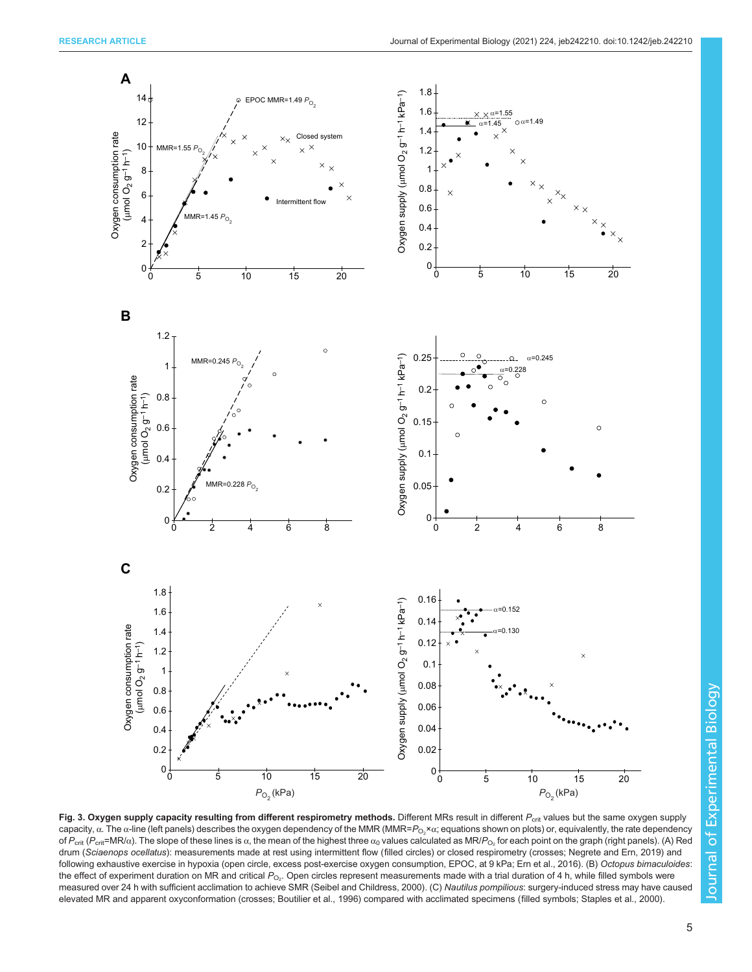<span id="page-4-0"></span>

Fig. 3. Oxygen supply capacity resulting from different respirometry methods. Different MRs result in different  $P_{\text{crit}}$  values but the same oxygen supply capacity, α. The α-line (left panels) describes the oxygen dependency of the MMR (MMR= $P_{\rm O_2}$ ×α; equations shown on plots) or, equivalently, the rate dependency of  $P_{\text{crit}}$  ( $P_{\text{crit}}$ =MR/ $\alpha$ ). The slope of these lines is  $\alpha$ , the mean of the highest three  $\alpha_0$  values calculated as MR/ $P_{\text{O}_2}$  for each point on the graph (right panels). (A) Red drum (Sciaenops ocellatus): measurements made at rest using intermittent flow (filled circles) or closed respirometry (crosses; Negrete and Ern, 2019) and following exhaustive exercise in hypoxia (open circle, excess post-exercise oxygen consumption, EPOC, at 9 kPa; [Ern et al., 2016\)](#page-10-0). (B) Octopus bimaculoides: the effect of experiment duration on MR and critical  $P_{\mathrm{O}_2}$ . Open circles represent measurements made with a trial duration of 4 h, while filled symbols were measured over 24 h with sufficient acclimation to achieve SMR ([Seibel and Childress, 2000\)](#page-10-0). (C) Nautilus pompilious: surgery-induced stress may have caused elevated MR and apparent oxyconformation (crosses; [Boutilier et al., 1996\)](#page-9-0) compared with acclimated specimens (filled symbols; [Staples et al., 2000](#page-11-0)).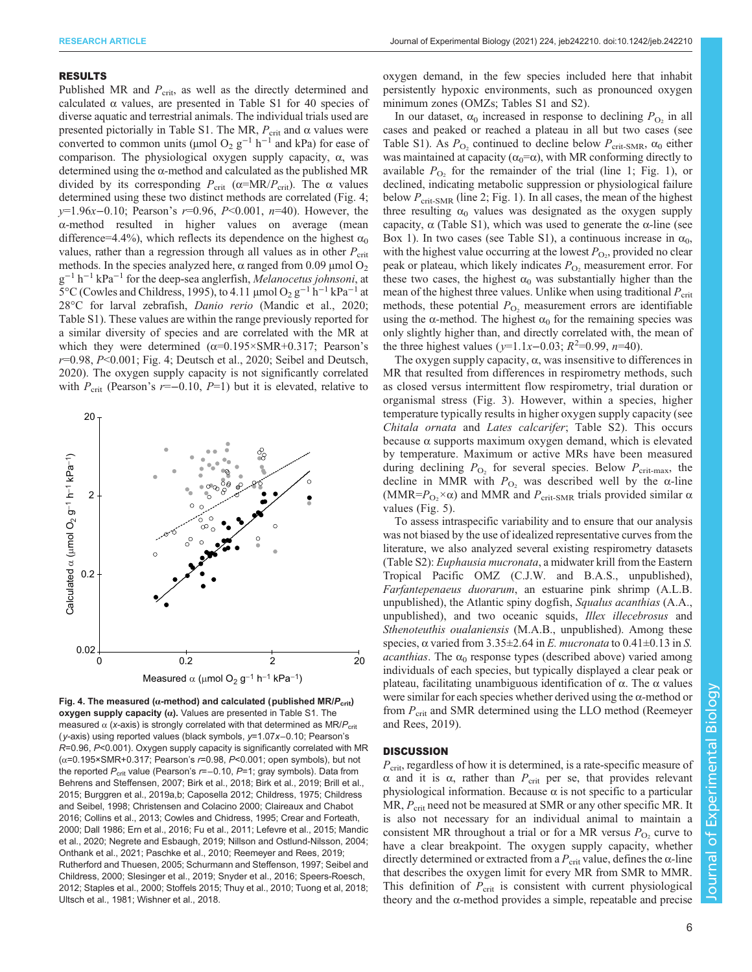## RESULTS

Published MR and  $P_{\text{crit}}$ , as well as the directly determined and calculated  $\alpha$  values, are presented in [Table S1](http://jeb.biologists.org/lookup/doi/10.1242/jeb.242210.supplemental) for 40 species of diverse aquatic and terrestrial animals. The individual trials used are presented pictorially in [Table S1](http://jeb.biologists.org/lookup/doi/10.1242/jeb.242210.supplemental). The MR,  $P_{\text{crit}}$  and α values were converted to common units (µmol O<sub>2</sub> g<sup>-1</sup> h<sup>-1</sup> and kPa) for ease of comparison. The physiological oxygen supply capacity, α, was determined using the α-method and calculated as the published MR divided by its corresponding  $P_{\text{crit}}$  ( $\alpha = MR/P_{\text{crit}}$ ). The  $\alpha$  values determined using these two distinct methods are correlated (Fig. 4; y=1.96x–0.10; Pearson's r=0.96, P<0.001, n=40). However, the α-method resulted in higher values on average (mean difference=4.4%), which reflects its dependence on the highest  $\alpha_0$ values, rather than a regression through all values as in other  $P_{\rm crit}$ methods. In the species analyzed here,  $\alpha$  ranged from 0.09  $\mu$ mol O<sub>2</sub> g<sup>-1</sup> h<sup>-1</sup> kPa<sup>-1</sup> for the deep-sea anglerfish, Melanocetus johnsoni, at 5°C ([Cowles and Childress, 1995](#page-10-0)), to 4.11 µmol  $O_2$  g<sup>-1</sup> h<sup>-1</sup> kPa<sup>-1</sup> at 28°C for larval zebrafish, Danio rerio ([Mandic et al., 2020](#page-10-0); [Table S1](http://jeb.biologists.org/lookup/doi/10.1242/jeb.242210.supplemental)). These values are within the range previously reported for a similar diversity of species and are correlated with the MR at which they were determined  $(\alpha=0.195\times\text{SMR}+0.317)$ ; Pearson's  $r=0.98$ ,  $P<0.001$ ; Fig. 4; [Deutsch et al., 2020](#page-10-0); [Seibel and Deutsch,](#page-10-0) [2020](#page-10-0)). The oxygen supply capacity is not significantly correlated with  $P_{\text{crit}}$  (Pearson's r=−0.10, P=1) but it is elevated, relative to



Fig. 4. The measured ( $\alpha$ -method) and calculated (published MR/ $P_{\text{crit}}$ ) oxygen supply capacity  $(α)$ . Values are presented in [Table S1](http://jeb.biologists.org/lookup/doi/10.1242/jeb.242210.supplemental). The measured  $\alpha$  (x-axis) is strongly correlated with that determined as MR/ $P_{\text{crit}}$ (y-axis) using reported values (black symbols, y=1.07x−0.10; Pearson's R=0.96, P<0.001). Oxygen supply capacity is significantly correlated with MR (α=0.195×SMR+0.317; Pearson's r=0.98, P<0.001; open symbols), but not the reported  $P_{\text{crit}}$  value (Pearson's r=−0.10, P=1; gray symbols). Data from [Behrens and Steffensen, 2007; Birk et al., 2018](#page-9-0); Birk et al., 2019; [Brill et al.,](#page-9-0) [2015; Burggren et al., 2019a,b](#page-9-0); [Caposella 2012](#page-9-0); [Childress, 1975](#page-9-0); [Childress](#page-9-0) [and Seibel, 1998;](#page-9-0) [Christensen and Colacino 2000; Claireaux and Chabot](#page-10-0) [2016; Collins et al., 2013; Cowles and Chidress, 1995; Crear and Forteath,](#page-10-0) [2000; Dall 1986; Ern et al., 2016; Fu et al., 2011;](#page-10-0) Lefevre et al., 2015; [Mandic](#page-10-0) [et al., 2020; Negrete and Esbaugh, 2019; Nillson and Ostlund-Nilsson, 2004;](#page-10-0) [Onthank et al., 2021; Paschke et al., 2010; Reemeyer and Rees, 2019;](#page-10-0) [Rutherford and Thuesen, 2005](#page-10-0); [Schurmann and Steffenson, 1997](#page-10-0); [Seibel and](#page-9-0) [Childress, 2000;](#page-9-0) [Slesinger et al., 2019;](#page-10-0) [Snyder et al., 2016; Speers-Roesch,](#page-11-0) [2012; Staples et al., 2000](#page-11-0); [Stoffels 2015; Thuy et al., 2010; Tuong et al, 2018;](#page-11-0) [Ultsch et al., 1981; Wishner et al., 2018.](#page-11-0)

oxygen demand, in the few species included here that inhabit persistently hypoxic environments, such as pronounced oxygen minimum zones (OMZs; [Tables S1](http://jeb.biologists.org/lookup/doi/10.1242/jeb.242210.supplemental) and [S2](http://jeb.biologists.org/lookup/doi/10.1242/jeb.242210.supplemental)).

In our dataset,  $\alpha_0$  increased in response to declining  $P_{\text{O}_2}$  in all cases and peaked or reached a plateau in all but two cases (see [Table S1](http://jeb.biologists.org/lookup/doi/10.1242/jeb.242210.supplemental)). As  $P_{\text{O}_2}$  continued to decline below  $P_{\text{crit-SMR}}$ ,  $\alpha_0$  either was maintained at capacity ( $\alpha_0 = \alpha$ ), with MR conforming directly to available  $P_{\text{O}_2}$  for the remainder of the trial (line 1; [Fig. 1](#page-2-0)), or declined, indicating metabolic suppression or physiological failure below  $P_{\text{crit-SMR}}$  (line 2; [Fig. 1\)](#page-2-0). In all cases, the mean of the highest three resulting  $\alpha_0$  values was designated as the oxygen supply capacity,  $\alpha$  [\(Table S1](http://jeb.biologists.org/lookup/doi/10.1242/jeb.242210.supplemental)), which was used to generate the  $\alpha$ -line (see [Box 1\)](#page-1-0). In two cases (see [Table S1](http://jeb.biologists.org/lookup/doi/10.1242/jeb.242210.supplemental)), a continuous increase in  $\alpha_0$ , with the highest value occurring at the lowest  $P_{\text{O}_2}$ , provided no clear peak or plateau, which likely indicates  $P_{\text{O}_2}$  measurement error. For these two cases, the highest  $\alpha_0$  was substantially higher than the mean of the highest three values. Unlike when using traditional  $P_{\text{crit}}$ methods, these potential  $P_{\text{O}_2}$  measurement errors are identifiable using the  $\alpha$ -method. The highest  $\alpha_0$  for the remaining species was only slightly higher than, and directly correlated with, the mean of the three highest values (y=1.1x–0.03;  $R^2$ =0.99, n=40).

The oxygen supply capacity,  $\alpha$ , was insensitive to differences in MR that resulted from differences in respirometry methods, such as closed versus intermittent flow respirometry, trial duration or organismal stress ([Fig. 3\)](#page-4-0). However, within a species, higher temperature typically results in higher oxygen supply capacity (see Chitala ornata and Lates calcarifer; [Table S2\)](http://jeb.biologists.org/lookup/doi/10.1242/jeb.242210.supplemental). This occurs because α supports maximum oxygen demand, which is elevated by temperature. Maximum or active MRs have been measured during declining  $P_{\text{O}_2}$  for several species. Below  $P_{\text{crit-max}}$ , the decline in MMR with  $P_{\text{O}_2}$  was described well by the α-line (MMR= $P_{\text{O}_2} \times \alpha$ ) and MMR and  $P_{\text{crit-SMR}}$  trials provided similar  $\alpha$ values [\(Fig. 5](#page-6-0)).

To assess intraspecific variability and to ensure that our analysis was not biased by the use of idealized representative curves from the literature, we also analyzed several existing respirometry datasets [\(Table S2](http://jeb.biologists.org/lookup/doi/10.1242/jeb.242210.supplemental)): Euphausia mucronata, a midwater krill from the Eastern Tropical Pacific OMZ (C.J.W. and B.A.S., unpublished), Farfantepenaeus duorarum, an estuarine pink shrimp (A.L.B. unpublished), the Atlantic spiny dogfish, Squalus acanthias (A.A., unpublished), and two oceanic squids, Illex illecebrosus and Sthenoteuthis oualaniensis (M.A.B., unpublished). Among these species,  $\alpha$  varied from 3.35±2.64 in E. mucronata to 0.41±0.13 in S. *acanthias*. The  $\alpha_0$  response types (described above) varied among individuals of each species, but typically displayed a clear peak or plateau, facilitating unambiguous identification of α. The α values were similar for each species whether derived using the  $\alpha$ -method or from  $P_{\text{crit}}$  and SMR determined using the LLO method [\(Reemeyer](#page-10-0) [and Rees, 2019\)](#page-10-0).

# **DISCUSSION**

 $P_{\text{crit}}$ , regardless of how it is determined, is a rate-specific measure of α and it is  $\alpha$ , rather than  $P_{\text{crit}}$  per se, that provides relevant physiological information. Because  $\alpha$  is not specific to a particular MR,  $P_{\text{crit}}$  need not be measured at SMR or any other specific MR. It is also not necessary for an individual animal to maintain a consistent MR throughout a trial or for a MR versus  $P_{\text{O}_2}$  curve to have a clear breakpoint. The oxygen supply capacity, whether directly determined or extracted from a  $P_{\text{crit}}$  value, defines the  $\alpha$ -line that describes the oxygen limit for every MR from SMR to MMR. This definition of  $P_{\text{crit}}$  is consistent with current physiological theory and the  $\alpha$ -method provides a simple, repeatable and precise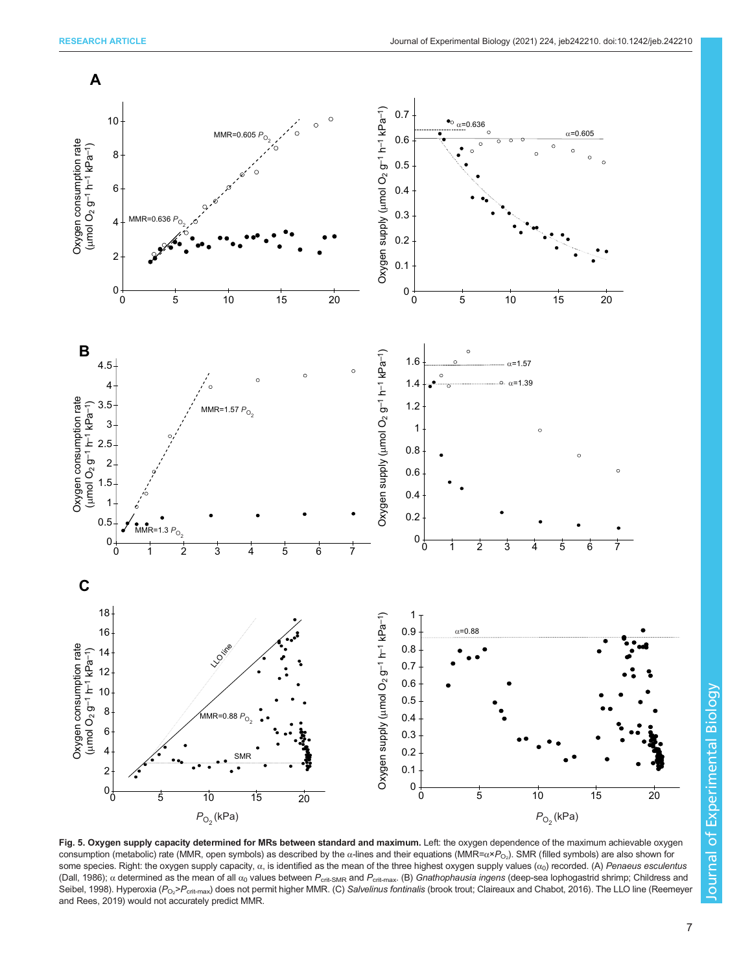<span id="page-6-0"></span>

Fig. 5. Oxygen supply capacity determined for MRs between standard and maximum. Left: the oxygen dependence of the maximum achievable oxygen consumption (metabolic) rate (MMR, open symbols) as described by the α-lines and their equations (MMR=α× $P_{\rm O_2}$ ). SMR (filled symbols) are also shown for some species. Right: the oxygen supply capacity,  $α$ , is identified as the mean of the three highest oxygen supply values  $(α<sub>0</sub>)$  recorded. (A) Penaeus esculentus [\(Dall, 1986](#page-10-0));  $\alpha$  determined as the mean of all  $\alpha_0$  values between  $P_{\text{crit-SMR}}$  and  $P_{\text{crit-max}}$ . (B) Gnathophausia ingens (deep-sea lophogastrid shrimp; [Childress and](#page-9-0) [Seibel, 1998](#page-9-0)). Hyperoxia (P<sub>O2</sub>>P<sub>crit-max</sub>) does not permit higher MMR. (C) S*alvelinus fontinalis* (brook trout; [Claireaux and Chabot, 2016\)](#page-10-0). The LLO line ([Reemeyer](#page-10-0) [and Rees, 2019\)](#page-10-0) would not accurately predict MMR.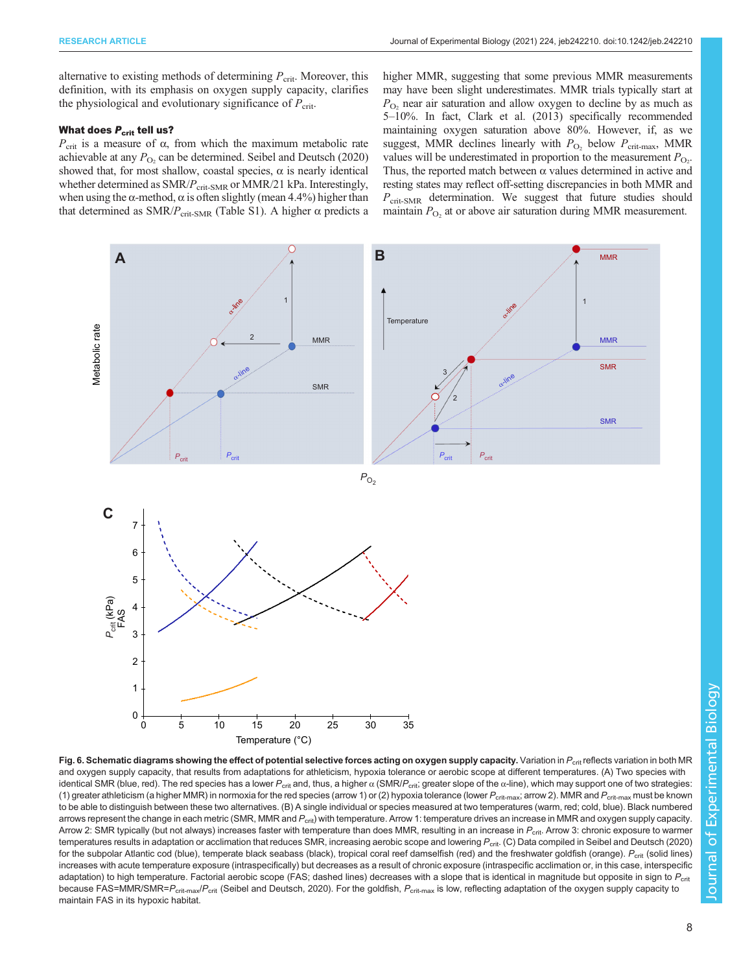<span id="page-7-0"></span>alternative to existing methods of determining  $P_{\text{crit}}$ . Moreover, this definition, with its emphasis on oxygen supply capacity, clarifies the physiological and evolutionary significance of  $P_{\text{crit}}$ .

# What does  $P_{\text{crit}}$  tell us?

 $P_{\text{crit}}$  is a measure of  $\alpha$ , from which the maximum metabolic rate achievable at any  $P_{\text{O}_2}$  can be determined. [Seibel and Deutsch \(2020\)](#page-10-0) showed that, for most shallow, coastal species,  $\alpha$  is nearly identical whether determined as  $SMR/P_{\text{crit-SMR}}$  or MMR/21 kPa. Interestingly, when using the  $\alpha$ -method,  $\alpha$  is often slightly (mean 4.4%) higher than that determined as SMR/ $P_{\text{crit-SMR}}$  ([Table S1\)](http://jeb.biologists.org/lookup/doi/10.1242/jeb.242210.supplemental). A higher α predicts a higher MMR, suggesting that some previous MMR measurements may have been slight underestimates. MMR trials typically start at  $P_{\text{O}_2}$  near air saturation and allow oxygen to decline by as much as 5–10%. In fact, [Clark et al. \(2013\)](#page-10-0) specifically recommended maintaining oxygen saturation above 80%. However, if, as we suggest, MMR declines linearly with  $P_{\text{O}_2}$  below  $P_{\text{crit-max}}$ , MMR values will be underestimated in proportion to the measurement  $P_{\text{O}_2}$ . Thus, the reported match between  $\alpha$  values determined in active and resting states may reflect off-setting discrepancies in both MMR and  $P_{\text{crit-SMR}}$  determination. We suggest that future studies should maintain  $P_{\text{O}_2}$  at or above air saturation during MMR measurement.



Fig. 6. Schematic diagrams showing the effect of potential selective forces acting on oxygen supply capacity. Variation in  $P_{\rm crit}$  reflects variation in both MR and oxygen supply capacity, that results from adaptations for athleticism, hypoxia tolerance or aerobic scope at different temperatures. (A) Two species with identical SMR (blue, red). The red species has a lower  $P_{\rm crit}$  and, thus, a higher  $\alpha$  (SMR/ $P_{\rm crit}$ ; greater slope of the  $\alpha$ -line), which may support one of two strategies: (1) greater athleticism (a higher MMR) in normoxia for the red species (arrow 1) or (2) hypoxia tolerance (lower  $P_{\text{crit-max}}$ ; arrow 2). MMR and  $P_{\text{crit-max}}$  must be known to be able to distinguish between these two alternatives. (B) A single individual or species measured at two temperatures (warm, red; cold, blue). Black numbered arrows represent the change in each metric (SMR, MMR and  $P_{\rm crit}$ ) with temperature. Arrow 1: temperature drives an increase in MMR and oxygen supply capacity. Arrow 2: SMR typically (but not always) increases faster with temperature than does MMR, resulting in an increase in  $P_{\text{crit}}$ . Arrow 3: chronic exposure to warmer temperatures results in adaptation or acclimation that reduces SMR, increasing aerobic scope and lowering P<sub>crit</sub>. (C) Data compiled in [Seibel and Deutsch \(2020\)](#page-10-0) for the subpolar Atlantic cod (blue), temperate black seabass (black), tropical coral reef damselfish (red) and the freshwater goldfish (orange).  $P_{\rm crit}$  (solid lines) increases with acute temperature exposure (intraspecifically) but decreases as a result of chronic exposure (intraspecific acclimation or, in this case, interspecific adaptation) to high temperature. Factorial aerobic scope (FAS; dashed lines) decreases with a slope that is identical in magnitude but opposite in sign to P<sub>crit</sub> because FAS=MMR/SMR=P<sub>crit-max</sub>/P<sub>crit</sub> ([Seibel and Deutsch, 2020](#page-10-0)). For the goldfish, P<sub>crit-max</sub> is low, reflecting adaptation of the oxygen supply capacity to maintain FAS in its hypoxic habitat.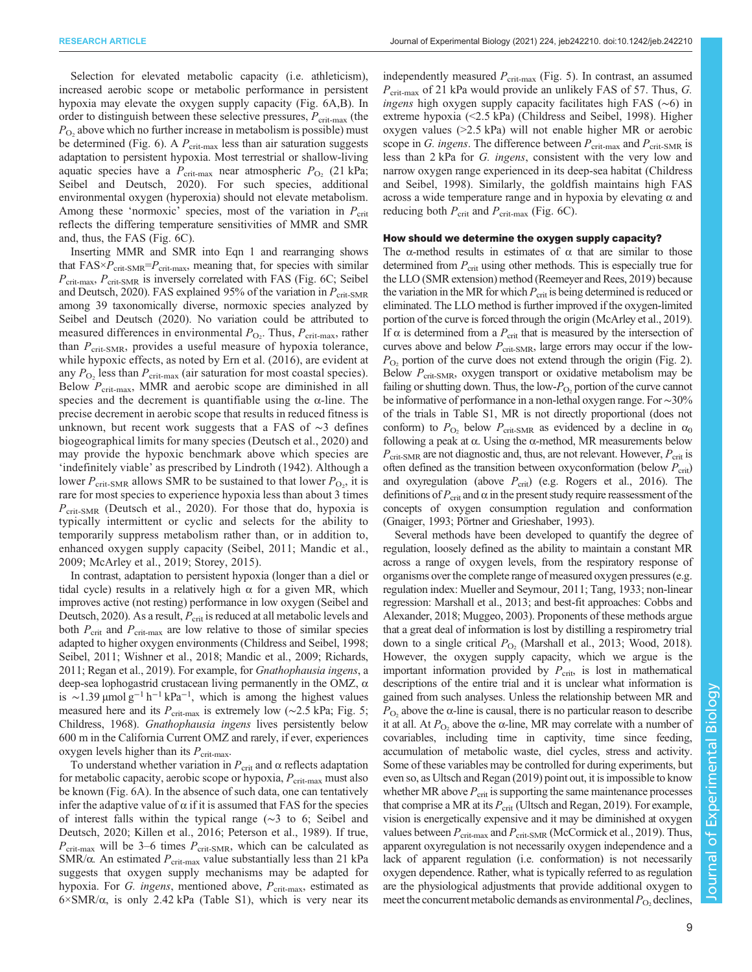Selection for elevated metabolic capacity (i.e. athleticism), increased aerobic scope or metabolic performance in persistent hypoxia may elevate the oxygen supply capacity [\(Fig. 6A](#page-7-0),B). In order to distinguish between these selective pressures,  $P_{\text{crit-max}}$  (the  $P_{\text{O}_2}$  above which no further increase in metabolism is possible) must be determined ([Fig. 6](#page-7-0)). A  $P_{\text{crit-max}}$  less than air saturation suggests adaptation to persistent hypoxia. Most terrestrial or shallow-living aquatic species have a  $P_{\text{crit-max}}$  near atmospheric  $P_{\text{O}_2}$  (21 kPa; [Seibel and Deutsch, 2020](#page-10-0)). For such species, additional environmental oxygen (hyperoxia) should not elevate metabolism. Among these 'normoxic' species, most of the variation in  $P_{\text{crit}}$ reflects the differing temperature sensitivities of MMR and SMR and, thus, the FAS ([Fig. 6C](#page-7-0)).

Inserting MMR and SMR into Eqn 1 and rearranging shows that  $FAS \times P_{crit-SMR} = P_{crit-max}$ , meaning that, for species with similar  $P_{\text{crit-max}}$ ,  $P_{\text{crit-SMR}}$  is inversely correlated with FAS [\(Fig. 6](#page-7-0)C; [Seibel](#page-10-0) [and Deutsch, 2020](#page-10-0)). FAS explained 95% of the variation in  $P_{\text{crit-SMR}}$ among 39 taxonomically diverse, normoxic species analyzed by [Seibel and Deutsch \(2020\).](#page-10-0) No variation could be attributed to measured differences in environmental  $P_{\text{O}_2}$ . Thus,  $P_{\text{crit-max}}$ , rather than  $P_{\text{crit-SMR}}$ , provides a useful measure of hypoxia tolerance, while hypoxic effects, as noted by [Ern et al. \(2016\)](#page-10-0), are evident at any  $P_{\text{O}_2}$  less than  $P_{\text{crit-max}}$  (air saturation for most coastal species). Below  $P_{\text{crit-max}}$ , MMR and aerobic scope are diminished in all species and the decrement is quantifiable using the  $\alpha$ -line. The precise decrement in aerobic scope that results in reduced fitness is unknown, but recent work suggests that a FAS of ∼3 defines biogeographical limits for many species [\(Deutsch et al., 2020\)](#page-10-0) and may provide the hypoxic benchmark above which species are 'indefinitely viable' as prescribed by [Lindroth \(1942\)](#page-10-0). Although a lower  $P_{\text{crit-SMR}}$  allows SMR to be sustained to that lower  $P_{\text{O}_2}$ , it is rare for most species to experience hypoxia less than about 3 times  $P_{\text{crit-SMR}}$  ([Deutsch et al., 2020](#page-10-0)). For those that do, hypoxia is typically intermittent or cyclic and selects for the ability to temporarily suppress metabolism rather than, or in addition to, enhanced oxygen supply capacity ([Seibel, 2011](#page-10-0); [Mandic et al.,](#page-10-0) [2009](#page-10-0); [McArley et al., 2019](#page-10-0); [Storey, 2015\)](#page-11-0).

In contrast, adaptation to persistent hypoxia (longer than a diel or tidal cycle) results in a relatively high  $\alpha$  for a given MR, which improves active (not resting) performance in low oxygen [\(Seibel and](#page-10-0) [Deutsch, 2020](#page-10-0)). As a result,  $P_{\text{crit}}$  is reduced at all metabolic levels and both  $P_{\text{crit}}$  and  $P_{\text{crit-max}}$  are low relative to those of similar species adapted to higher oxygen environments ([Childress and Seibel, 1998](#page-9-0); [Seibel, 2011](#page-10-0); [Wishner et al., 2018](#page-11-0); [Mandic et al., 2009](#page-10-0); [Richards,](#page-10-0) [2011; Regan et al., 2019\)](#page-10-0). For example, for Gnathophausia ingens, a deep-sea lophogastrid crustacean living permanently in the OMZ, α is ~1.39 µmol g<sup>-1</sup> h<sup>-1</sup> kPa<sup>-1</sup>, which is among the highest values measured here and its  $P_{\text{crit-max}}$  is extremely low (~2.5 kPa; [Fig. 5](#page-6-0); [Childress, 1968](#page-9-0)). Gnathophausia ingens lives persistently below 600 m in the California Current OMZ and rarely, if ever, experiences oxygen levels higher than its  $P_{\text{crit-max}}$ .

To understand whether variation in  $P_{\text{crit}}$  and  $\alpha$  reflects adaptation for metabolic capacity, aerobic scope or hypoxia,  $P_{\text{crit-max}}$  must also be known ([Fig. 6](#page-7-0)A). In the absence of such data, one can tentatively infer the adaptive value of  $\alpha$  if it is assumed that FAS for the species of interest falls within the typical range (∼3 to 6; [Seibel and](#page-10-0) [Deutsch, 2020; Killen et al., 2016; Peterson et al., 1989\)](#page-10-0). If true,  $P_{\text{crit-max}}$  will be 3–6 times  $P_{\text{crit-SMR}}$ , which can be calculated as SMR/ $\alpha$ . An estimated  $P_{\text{crit-max}}$  value substantially less than 21 kPa suggests that oxygen supply mechanisms may be adapted for hypoxia. For G. ingens, mentioned above,  $P_{\text{crit-max}}$ , estimated as  $6 \times \text{SMR}/\alpha$ , is only 2.42 kPa ([Table S1](http://jeb.biologists.org/lookup/doi/10.1242/jeb.242210.supplemental)), which is very near its independently measured  $P_{\text{crit-max}}$  ([Fig. 5\)](#page-6-0). In contrast, an assumed  $P_{\text{crit-max}}$  of 21 kPa would provide an unlikely FAS of 57. Thus, G. ingens high oxygen supply capacity facilitates high FAS (∼6) in extreme hypoxia (<2.5 kPa) [\(Childress and Seibel, 1998](#page-9-0)). Higher oxygen values (>2.5 kPa) will not enable higher MR or aerobic scope in G. ingens. The difference between  $P_{\text{crit-max}}$  and  $P_{\text{crit-SMR}}$  is less than 2 kPa for G. ingens, consistent with the very low and narrow oxygen range experienced in its deep-sea habitat ([Childress](#page-9-0) [and Seibel, 1998](#page-9-0)). Similarly, the goldfish maintains high FAS across a wide temperature range and in hypoxia by elevating  $\alpha$  and reducing both  $P_{\text{crit}}$  and  $P_{\text{crit-max}}$  [\(Fig. 6C](#page-7-0)).

## How should we determine the oxygen supply capacity?

The  $\alpha$ -method results in estimates of  $\alpha$  that are similar to those determined from  $P_{\rm crit}$  using other methods. This is especially true for the LLO (SMR extension) method ([Reemeyer and Rees, 2019\)](#page-10-0) because the variation in the MR for which  $P_{\text{crit}}$  is being determined is reduced or eliminated. The LLO method is further improved if the oxygen-limited portion of the curve is forced through the origin [\(McArley et al., 2019\)](#page-10-0). If α is determined from a  $P_{\rm crit}$  that is measured by the intersection of curves above and below  $P_{\text{crit-SMR}}$ , large errors may occur if the low- $P_{\text{O}_2}$  portion of the curve does not extend through the origin [\(Fig. 2\)](#page-3-0). Below  $P_{\text{crit-SMR}}$ , oxygen transport or oxidative metabolism may be failing or shutting down. Thus, the low- $P_{\text{O}_2}$  portion of the curve cannot be informative of performance in a non-lethal oxygen range. For∼30% of the trials in [Table S1,](http://jeb.biologists.org/lookup/doi/10.1242/jeb.242210.supplemental) MR is not directly proportional (does not conform) to  $P_{\text{O}_2}$  below  $P_{\text{crit-SMR}}$  as evidenced by a decline in  $\alpha_0$ following a peak at α. Using the α-method, MR measurements below  $P_{\text{crit-SMR}}$  are not diagnostic and, thus, are not relevant. However,  $P_{\text{crit}}$  is often defined as the transition between oxyconformation (below  $P_{\rm crit}$ ) and oxyregulation (above  $P_{\text{crit}}$ ) (e.g. [Rogers et al., 2016\)](#page-10-0). The definitions of  $P_{\text{crit}}$  and  $\alpha$  in the present study require reassessment of the concepts of oxygen consumption regulation and conformation [\(Gnaiger, 1993](#page-10-0); [Pörtner and Grieshaber, 1993](#page-10-0)).

Several methods have been developed to quantify the degree of regulation, loosely defined as the ability to maintain a constant MR across a range of oxygen levels, from the respiratory response of organisms over the complete range of measured oxygen pressures (e.g. regulation index: [Mueller and Seymour, 2011](#page-10-0); [Tang, 1933](#page-11-0); non-linear regression: [Marshall et al., 2013](#page-10-0); and best-fit approaches: [Cobbs and](#page-10-0) [Alexander, 2018](#page-10-0); [Muggeo, 2003](#page-10-0)). Proponents of these methods argue that a great deal of information is lost by distilling a respirometry trial down to a single critical  $P_{\text{O}_2}$  [\(Marshall et al., 2013](#page-10-0); [Wood, 2018\)](#page-11-0). However, the oxygen supply capacity, which we argue is the important information provided by  $P_{\text{crit}}$ , is lost in mathematical descriptions of the entire trial and it is unclear what information is gained from such analyses. Unless the relationship between MR and  $P_{\text{O}_2}$  above the  $\alpha$ -line is causal, there is no particular reason to describe it at all. At  $P_{\text{O}_2}$  above the  $\alpha$ -line, MR may correlate with a number of covariables, including time in captivity, time since feeding, accumulation of metabolic waste, diel cycles, stress and activity. Some of these variables may be controlled for during experiments, but even so, as [Ultsch and Regan \(2019\)](#page-11-0) point out, it is impossible to know whether MR above  $P_{\rm crit}$  is supporting the same maintenance processes that comprise a MR at its  $P_{\rm crit}$  [\(Ultsch and Regan, 2019\)](#page-11-0). For example, vision is energetically expensive and it may be diminished at oxygen values between  $P_{\text{crit-max}}$  and  $P_{\text{crit-SMR}}$  ([McCormick et al., 2019](#page-10-0)). Thus, apparent oxyregulation is not necessarily oxygen independence and a lack of apparent regulation (i.e. conformation) is not necessarily oxygen dependence. Rather, what is typically referred to as regulation are the physiological adjustments that provide additional oxygen to meet the concurrent metabolic demands as environmental  $P_{\text{O}_2}$  declines,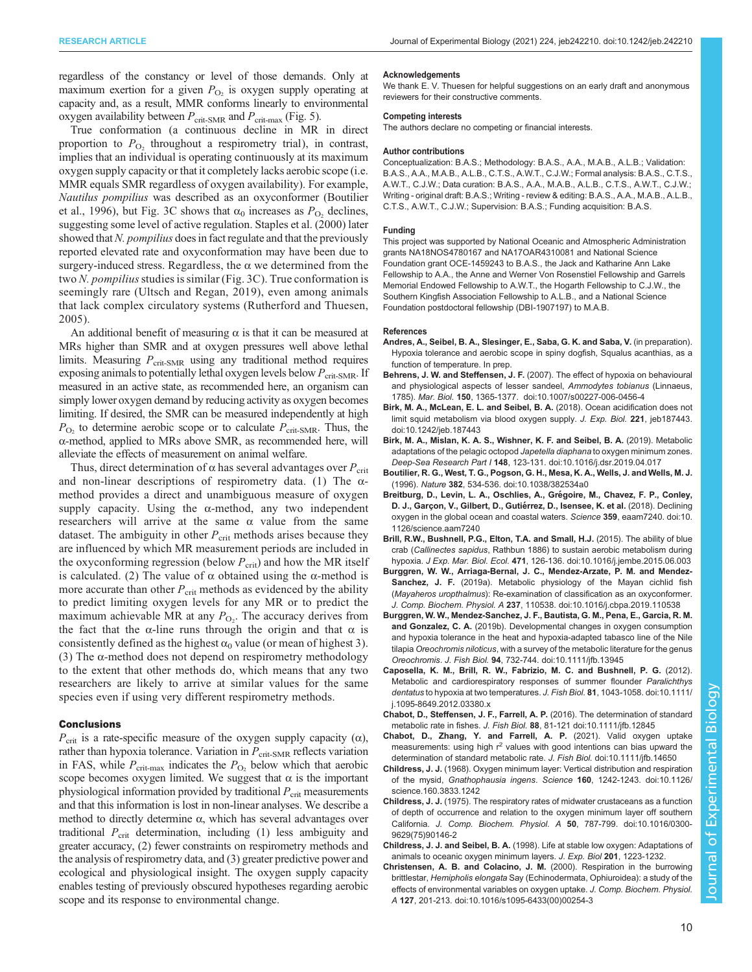<span id="page-9-0"></span>regardless of the constancy or level of those demands. Only at maximum exertion for a given  $P_{\text{O}_2}$  is oxygen supply operating at capacity and, as a result, MMR conforms linearly to environmental oxygen availability between  $P_{\text{crit-SMR}}$  and  $P_{\text{crit-max}}$  [\(Fig. 5\)](#page-6-0).

True conformation (a continuous decline in MR in direct proportion to  $P_{\text{O}_2}$  throughout a respirometry trial), in contrast, implies that an individual is operating continuously at its maximum oxygen supply capacity or that it completely lacks aerobic scope (i.e. MMR equals SMR regardless of oxygen availability). For example, Nautilus pompilius was described as an oxyconformer (Boutilier et al., 1996), but [Fig. 3C](#page-4-0) shows that  $\alpha_0$  increases as  $P_{\text{O}_2}$  declines, suggesting some level of active regulation. [Staples et al. \(2000\)](#page-11-0) later showed that N. pompilius does in fact regulate and that the previously reported elevated rate and oxyconformation may have been due to surgery-induced stress. Regardless, the  $\alpha$  we determined from the two  $N.$  pompilius studies is similar ([Fig. 3C](#page-4-0)). True conformation is seemingly rare ([Ultsch and Regan, 2019](#page-11-0)), even among animals that lack complex circulatory systems ([Rutherford and Thuesen,](#page-10-0) [2005\)](#page-10-0).

An additional benefit of measuring  $\alpha$  is that it can be measured at MRs higher than SMR and at oxygen pressures well above lethal limits. Measuring  $P_{\text{crit-SMR}}$  using any traditional method requires exposing animals to potentially lethal oxygen levels below  $P_{\text{crit-SMR}}$ . If measured in an active state, as recommended here, an organism can simply lower oxygen demand by reducing activity as oxygen becomes limiting. If desired, the SMR can be measured independently at high  $P_{\text{O}_2}$  to determine aerobic scope or to calculate  $P_{\text{crit-SMR}}$ . Thus, the α-method, applied to MRs above SMR, as recommended here, will alleviate the effects of measurement on animal welfare.

Thus, direct determination of  $\alpha$  has several advantages over  $P_{\rm crit}$ and non-linear descriptions of respirometry data. (1) The  $\alpha$ method provides a direct and unambiguous measure of oxygen supply capacity. Using the  $\alpha$ -method, any two independent researchers will arrive at the same α value from the same dataset. The ambiguity in other  $P_{\text{crit}}$  methods arises because they are influenced by which MR measurement periods are included in the oxyconforming regression (below  $P_{\text{crit}}$ ) and how the MR itself is calculated. (2) The value of  $\alpha$  obtained using the α-method is more accurate than other  $P_{\text{crit}}$  methods as evidenced by the ability to predict limiting oxygen levels for any MR or to predict the maximum achievable MR at any  $P_{\text{O}_2}$ . The accuracy derives from the fact that the  $\alpha$ -line runs through the origin and that  $\alpha$  is consistently defined as the highest  $\alpha_0$  value (or mean of highest 3). (3) The  $\alpha$ -method does not depend on respirometry methodology to the extent that other methods do, which means that any two researchers are likely to arrive at similar values for the same species even if using very different respirometry methods.

#### **Conclusions**

 $P_{\rm crit}$  is a rate-specific measure of the oxygen supply capacity ( $\alpha$ ), rather than hypoxia tolerance. Variation in  $P_{\text{crit-SMR}}$  reflects variation in FAS, while  $P_{\text{crit-max}}$  indicates the  $P_{\text{O}_2}$  below which that aerobic scope becomes oxygen limited. We suggest that  $\alpha$  is the important physiological information provided by traditional  $P_{\rm crit}$  measurements and that this information is lost in non-linear analyses. We describe a method to directly determine  $\alpha$ , which has several advantages over traditional  $P_{\text{crit}}$  determination, including (1) less ambiguity and greater accuracy, (2) fewer constraints on respirometry methods and the analysis of respirometry data, and (3) greater predictive power and ecological and physiological insight. The oxygen supply capacity enables testing of previously obscured hypotheses regarding aerobic scope and its response to environmental change.

#### Acknowledgements

We thank E. V. Thuesen for helpful suggestions on an early draft and anonymous reviewers for their constructive comments.

#### Competing interests

The authors declare no competing or financial interests.

#### Author contributions

Conceptualization: B.A.S.; Methodology: B.A.S., A.A., M.A.B., A.L.B.; Validation: B.A.S., A.A., M.A.B., A.L.B., C.T.S., A.W.T., C.J.W.; Formal analysis: B.A.S., C.T.S., A.W.T., C.J.W.; Data curation: B.A.S., A.A., M.A.B., A.L.B., C.T.S., A.W.T., C.J.W.; Writing - original draft: B.A.S.; Writing - review & editing: B.A.S., A.A., M.A.B., A.L.B., C.T.S., A.W.T., C.J.W.; Supervision: B.A.S.; Funding acquisition: B.A.S.

#### Funding

This project was supported by National Oceanic and Atmospheric Administration grants NA18NOS4780167 and NA17OAR4310081 and National Science Foundation grant OCE-1459243 to B.A.S., the Jack and Katharine Ann Lake Fellowship to A.A., the Anne and Werner Von Rosenstiel Fellowship and Garrels Memorial Endowed Fellowship to A.W.T., the Hogarth Fellowship to C.J.W., the Southern Kingfish Association Fellowship to A.L.B., and a National Science Foundation postdoctoral fellowship (DBI-1907197) to M.A.B.

#### References

- Andres, A., Seibel, B. A., Slesinger, E., Saba, G. K. and Saba, V. (in preparation). Hypoxia tolerance and aerobic scope in spiny dogfish, Squalus acanthias, as a function of temperature. In prep.
- Behrens, J. W. and Steffensen, J. F. [\(2007\). The effect of hypoxia on behavioural](https://doi.org/10.1007/s00227-006-0456-4) [and physiological aspects of lesser sandeel,](https://doi.org/10.1007/s00227-006-0456-4) Ammodytes tobianus (Linnaeus, 1785). Mar. Biol. 150[, 1365-1377. doi:10.1007/s00227-006-0456-4](https://doi.org/10.1007/s00227-006-0456-4)
- [Birk, M. A., McLean, E. L. and Seibel, B. A.](https://doi.org/10.1242/jeb.187443) (2018). Ocean acidification does not [limit squid metabolism via blood oxygen supply.](https://doi.org/10.1242/jeb.187443) J. Exp. Biol. 221, jeb187443. [doi:10.1242/jeb.187443](https://doi.org/10.1242/jeb.187443)
- [Birk, M. A., Mislan, K. A. S., Wishner, K. F. and Seibel, B. A.](https://doi.org/10.1016/j.dsr.2019.04.017) (2019). Metabolic [adaptations of the pelagic octopod](https://doi.org/10.1016/j.dsr.2019.04.017) Japetella diaphana to oxygen minimum zones. Deep-Sea Research Part I 148[, 123-131. doi:10.1016/j.dsr.2019.04.017](https://doi.org/10.1016/j.dsr.2019.04.017)
- [Boutilier, R. G., West, T. G., Pogson, G. H., Mesa, K. A., Wells, J. and Wells, M. J.](https://doi.org/10.1038/382534a0) (1996). Nature 382[, 534-536. doi:10.1038/382534a0](https://doi.org/10.1038/382534a0)
- Breitburg, D., Levin, L. A., Oschlies, A., Grégoire, M., Chavez, F. P., Conley, [D. J., Garçon, V., Gilbert, D., Gutie](https://doi.org/10.1126/science.aam7240)́rrez, D., Isensee, K. et al. (2018). Declining [oxygen in the global ocean and coastal waters.](https://doi.org/10.1126/science.aam7240) Science 359, eaam7240. doi:10. [1126/science.aam7240](https://doi.org/10.1126/science.aam7240)
- [Brill, R.W., Bushnell, P.G., Elton, T.A. and Small, H.J.](https://doi.org/10.1016/j.jembe.2015.06.003) (2015). The ability of blue crab (Callinectes sapidus[, Rathbun 1886\) to sustain aerobic metabolism during](https://doi.org/10.1016/j.jembe.2015.06.003) hypoxia. J Exp. Mar. Biol. Ecol. 471[, 126-136. doi:10.1016/j.jembe.2015.06.003](https://doi.org/10.1016/j.jembe.2015.06.003)
- [Burggren, W. W., Arriaga-Bernal, J. C., Mendez-Arzate, P. M. and Mendez-](https://doi.org/10.1016/j.cbpa.2019.110538)Sanchez, J. F. [\(2019a\). Metabolic physiology of the Mayan cichlid fish](https://doi.org/10.1016/j.cbpa.2019.110538) (Mayaheros uropthalmus[\): Re-examination of classification as an oxyconformer.](https://doi.org/10.1016/j.cbpa.2019.110538) J. Comp. Biochem. Physiol. A 237[, 110538. doi:10.1016/j.cbpa.2019.110538](https://doi.org/10.1016/j.cbpa.2019.110538)
- [Burggren, W. W., Mendez-Sanchez, J. F., Bautista, G. M., Pena, E., Garcia, R. M.](https://doi.org/10.1111/jfb.13945) and Gonzalez, C. A. [\(2019b\). Developmental changes in oxygen consumption](https://doi.org/10.1111/jfb.13945) [and hypoxia tolerance in the heat and hypoxia-adapted tabasco line of the Nile](https://doi.org/10.1111/jfb.13945) tilapia Oreochromis niloticus[, with a survey of the metabolic literature for the genus](https://doi.org/10.1111/jfb.13945) Oreochromis. J. Fish Biol. 94[, 732-744. doi:10.1111/jfb.13945](https://doi.org/10.1111/jfb.13945)
- [Caposella, K. M., Brill, R. W., Fabrizio, M. C. and Bushnell, P. G.](https://doi.org/10.1111/j.1095-8649.2012.03380.x) (2012). [Metabolic and cardiorespiratory responses of summer flounder](https://doi.org/10.1111/j.1095-8649.2012.03380.x) Paralichthys dentatus [to hypoxia at two temperatures.](https://doi.org/10.1111/j.1095-8649.2012.03380.x) J. Fish Biol. 81, 1043-1058. doi:10.1111/ [j.1095-8649.2012.03380.x](https://doi.org/10.1111/j.1095-8649.2012.03380.x)
- [Chabot, D., Steffensen, J. F., Farrell, A. P.](https://doi.org/10.1111/jfb.12845) (2016). The determination of standard metabolic rate in fishes. J. Fish Biol. 88[, 81-121 doi:10.1111/jfb.12845](https://doi.org/10.1111/jfb.12845)
- [Chabot, D., Zhang, Y. and Farrell, A. P.](https://doi.org/doi.org/10.1111/jfb.14650) (2021). Valid oxygen uptake [measurements:](https://doi.org/doi.org/10.1111/jfb.14650) [using](https://doi.org/doi.org/10.1111/jfb.14650) [high](https://doi.org/doi.org/10.1111/jfb.14650)  $r^2$  $r^2$  [values with good intentions can bias upward the](https://doi.org/doi.org/10.1111/jfb.14650) [determination of standard metabolic rate.](https://doi.org/doi.org/10.1111/jfb.14650) J. Fish Biol. doi:10.1111/jfb.14650
- Childress, J. J. [\(1968\). Oxygen minimum layer: Vertical distribution and respiration](https://doi.org/10.1126/science.160.3833.1242) of the mysid, Gnathophausia ingens. Science 160[, 1242-1243. doi:10.1126/](https://doi.org/10.1126/science.160.3833.1242) [science.160.3833.1242](https://doi.org/10.1126/science.160.3833.1242)
- Childress, J. J. [\(1975\). The respiratory rates of midwater crustaceans as a function](https://doi.org/10.1016/0300-9629(75)90146-2) [of depth of occurrence and relation to the oxygen minimum layer off southern](https://doi.org/10.1016/0300-9629(75)90146-2) California. [J. Comp. Biochem. Physiol. A](https://doi.org/10.1016/0300-9629(75)90146-2) 50, 787-799. doi:10.1016/0300- [9629\(75\)90146-2](https://doi.org/10.1016/0300-9629(75)90146-2)
- Childress, J. J. and Seibel, B. A. (1998). Life at stable low oxygen: Adaptations of animals to oceanic oxygen minimum layers. J. Exp. Biol 201, 1223-1232.
- [Christensen, A. B. and Colacino, J. M.](https://doi.org/10.1016/s1095-6433(00)00254-3) (2000). Respiration in the burrowing brittlestar, Hemipholis elongata [Say \(Echinodermata, Ophiuroidea\): a study of the](https://doi.org/10.1016/s1095-6433(00)00254-3) [effects of environmental variables on oxygen uptake.](https://doi.org/10.1016/s1095-6433(00)00254-3) J. Comp. Biochem. Physiol. A 127[, 201-213. doi:10.1016/s1095-6433\(00\)00254-3](https://doi.org/10.1016/s1095-6433(00)00254-3)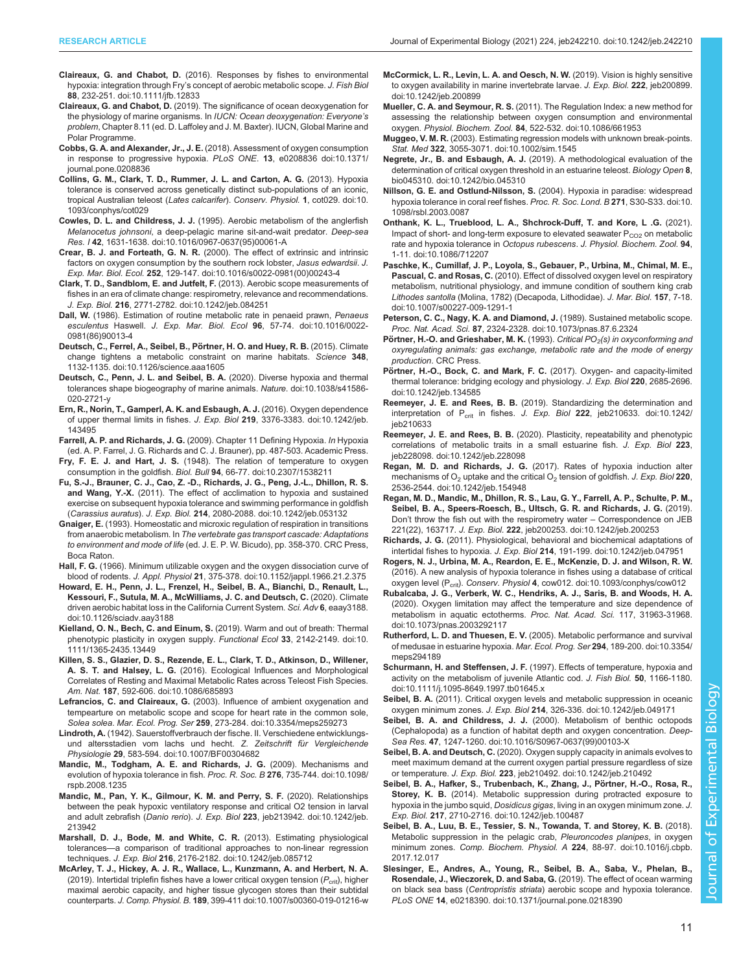- <span id="page-10-0"></span>Claireaux, G. and Chabot, D. [\(2016\). Responses by fishes to environmental](https://doi.org/10.1111/jfb.12833) hypoxia: integration through Fry'[s concept of aerobic metabolic scope.](https://doi.org/10.1111/jfb.12833) J. Fish Biol 88[, 232-251. doi:10.1111/jfb.12833](https://doi.org/10.1111/jfb.12833)
- Claireaux, G. and Chabot, D. (2019). The significance of ocean deoxygenation for the physiology of marine organisms. In IUCN: Ocean deoxygenation: Everyone's problem, Chapter 8.11 (ed. D. Laffoley and J. M. Baxter). IUCN, Global Marine and Polar Programme.
- Cobbs, G. A. and Alexander, Jr., J. E. [\(2018\). Assessment of oxygen consumption](https://doi.org/10.1371/journal.pone.0208836) [in response to progressive hypoxia.](https://doi.org/10.1371/journal.pone.0208836) PLoS ONE. 13, e0208836 doi:10.1371/ [journal.pone.0208836](https://doi.org/10.1371/journal.pone.0208836)
- [Collins, G. M., Clark, T. D., Rummer, J. L. and Carton, A. G.](https://doi.org/10.1093/conphys/cot029) (2013). Hypoxia [tolerance is conserved across genetically distinct sub-populations of an iconic,](https://doi.org/10.1093/conphys/cot029) [tropical Australian teleost \(](https://doi.org/10.1093/conphys/cot029)Lates calcarifer). Conserv. Physiol. 1, cot029. doi:10. [1093/conphys/cot029](https://doi.org/10.1093/conphys/cot029)
- Cowles, D. L. and Childress, J. J. [\(1995\). Aerobic metabolism of the anglerfish](https://doi.org/10.1016/0967-0637(95)00061-A) Melanocetus johnsoni[, a deep-pelagic marine sit-and-wait predator.](https://doi.org/10.1016/0967-0637(95)00061-A) Deep-sea Res. I 42[, 1631-1638. doi:10.1016/0967-0637\(95\)00061-A](https://doi.org/10.1016/0967-0637(95)00061-A)
- Crear, B. J. and Forteath, G. N. R. [\(2000\). The effect of extrinsic and intrinsic](https://doi.org/10.1016/s0022-0981(00)00243-4) [factors on oxygen consumption by the southern rock lobster,](https://doi.org/10.1016/s0022-0981(00)00243-4) Jasus edwardsii, J. Exp. Mar. Biol. Ecol. 252[, 129-147. doi:10.1016/s0022-0981\(00\)00243-4](https://doi.org/10.1016/s0022-0981(00)00243-4)
- [Clark, T. D., Sandblom, E. and Jutfelt, F.](https://doi.org/10.1242/jeb.084251) (2013). Aerobic scope measurements of [fishes in an era of climate change: respirometry, relevance and recommendations.](https://doi.org/10.1242/jeb.084251) J. Exp. Biol. 216[, 2771-2782. doi:10.1242/jeb.084251](https://doi.org/10.1242/jeb.084251)
- Dall, W. (1986). Estimation of routine metabolic rate in penaeid prawn. Penaeus esculentus Haswell. J. Exp. Mar. Biol. Ecol 96[, 57-74. doi:10.1016/0022-](https://doi.org/10.1016/0022-0981(86)90013-4) [0981\(86\)90013-4](https://doi.org/10.1016/0022-0981(86)90013-4)
- Deutsch, C., Ferrel, A., Seibel, B., Pörtner, H. O. and Huey, R. B. (2015). Climate [change tightens a metabolic constraint on marine habitats.](https://doi.org/10.1126/science.aaa1605) Science 348, [1132-1135. doi:10.1126/science.aaa1605](https://doi.org/10.1126/science.aaa1605)
- [Deutsch, C., Penn, J. L. and Seibel, B. A.](https://doi.org/10.1038/s41586-020-2721-y) (2020). Diverse hypoxia and thermal [tolerances shape biogeography of marine animals.](https://doi.org/10.1038/s41586-020-2721-y) Nature. doi:10.1038/s41586-[020-2721-y](https://doi.org/10.1038/s41586-020-2721-y)
- [Ern, R., Norin, T., Gamperl, A. K. and Esbaugh, A. J.](https://doi.org/10.1242/jeb.143495) (2016). Oxygen dependence [of upper thermal limits in fishes.](https://doi.org/10.1242/jeb.143495) J. Exp. Biol 219, 3376-3383. doi:10.1242/jeb. [143495](https://doi.org/10.1242/jeb.143495)
- Farrell, A. P. and Richards, J. G. (2009). Chapter 11 Defining Hypoxia. In Hypoxia (ed. A. P. Farrel, J. G. Richards and C. J. Brauner), pp. 487-503. Academic Press.
- Fry, F. E. J. and Hart, J. S. [\(1948\). The relation of temperature to oxygen](https://doi.org/10.2307/1538211) consumption in the goldfish. Biol. Bull 94[, 66-77. doi:10.2307/1538211](https://doi.org/10.2307/1538211)
- [Fu, S.-J., Brauner, C. J., Cao, Z. -D., Richards, J. G., Peng, J.-L., Dhillon, R. S.](https://doi.org/10.1242/jeb.053132) and Wang, Y.-X. [\(2011\). The effect of acclimation to hypoxia and sustained](https://doi.org/10.1242/jeb.053132) [exercise on subsequent hypoxia tolerance and swimming performance in goldfish](https://doi.org/10.1242/jeb.053132) (Carassius auratus). J. Exp. Biol. 214[, 2080-2088. doi:10.1242/jeb.053132](https://doi.org/10.1242/jeb.053132)
- Gnaiger, E. (1993). Homeostatic and microxic regulation of respiration in transitions from anaerobic metabolism. In The vertebrate gas transport cascade: Adaptations to environment and mode of life (ed. J. E. P. W. Bicudo), pp. 358-370. CRC Press, Boca Raton.
- Hall, F. G. [\(1966\). Minimum utilizable oxygen and the oxygen dissociation curve of](https://doi.org/10.1152/jappl.1966.21.2.375) blood of rodents. J. Appl. Physiol 21[, 375-378. doi:10.1152/jappl.1966.21.2.375](https://doi.org/10.1152/jappl.1966.21.2.375)
- [Howard, E. H., Penn, J. L., Frenzel, H., Seibel, B. A., Bianchi, D., Renault, L.,](https://doi.org/10.1126/sciadv.aay3188) [Kessouri, F., Sutula, M. A., McWilliams, J. C. and Deutsch, C.](https://doi.org/10.1126/sciadv.aay3188) (2020). Climate [driven aerobic habitat loss in the California Current System.](https://doi.org/10.1126/sciadv.aay3188) Sci. Adv 6, eaay3188. [doi:10.1126/sciadv.aay3188](https://doi.org/10.1126/sciadv.aay3188)
- [Kielland, O. N., Bech, C. and Einum, S.](https://doi.org/10.1111/1365-2435.13449) (2019). Warm and out of breath: Thermal [phenotypic plasticity in oxygen supply.](https://doi.org/10.1111/1365-2435.13449) Functional Ecol 33, 2142-2149. doi:10. [1111/1365-2435.13449](https://doi.org/10.1111/1365-2435.13449)
- [Killen, S. S., Glazier, D. S., Rezende, E. L., Clark, T. D., Atkinson, D., Willener,](https://doi.org/10.1086/685893) A. S. T. and Halsey, L. G. [\(2016\). Ecological Influences and Morphological](https://doi.org/10.1086/685893) [Correlates of Resting and Maximal Metabolic Rates across Teleost Fish Species.](https://doi.org/10.1086/685893) Am. Nat. 187[, 592-606. doi:10.1086/685893](https://doi.org/10.1086/685893)
- Lefrancios, C. and Claireaux, G. [\(2003\). Influence of ambient oxygenation and](https://doi.org/10.3354/meps259273) [tempearture on metabolic scope and scope for heart rate in the common sole,](https://doi.org/10.3354/meps259273) Solea solea. Mar. Ecol. Prog. Ser 259[, 273-284. doi:10.3354/meps259273](https://doi.org/10.3354/meps259273)
- Lindroth, A. [\(1942\). Sauerstoffverbrauch der fische. II. Verschiedene entwicklungs](https://doi.org/10.1007/BF00304682)[und altersstadien vom lachs und hecht.](https://doi.org/10.1007/BF00304682) Z. Zeitschrift für Vergleichende Physiologie 29[, 583-594. doi:10.1007/BF00304682](https://doi.org/10.1007/BF00304682)
- [Mandic, M., Todgham, A. E. and Richards, J. G.](https://doi.org/10.1098/rspb.2008.1235) (2009). Mechanisms and [evolution of hypoxia tolerance in fish.](https://doi.org/10.1098/rspb.2008.1235) Proc. R. Soc. B 276, 735-744. doi:10.1098/ [rspb.2008.1235](https://doi.org/10.1098/rspb.2008.1235)
- [Mandic, M., Pan, Y. K., Gilmour, K. M. and Perry, S. F.](https://doi.org/10.1242/jeb.213942) (2020). Relationships [between the peak hypoxic ventilatory response and critical O2 tension in larval](https://doi.org/10.1242/jeb.213942) and adult zebrafish (Danio rerio). J. Exp. Biol 223[, jeb213942. doi:10.1242/jeb.](https://doi.org/10.1242/jeb.213942) [213942](https://doi.org/10.1242/jeb.213942)
- [Marshall, D. J., Bode, M. and White, C. R.](https://doi.org/10.1242/jeb.085712) (2013). Estimating physiological tolerances—[a comparison of traditional approaches to non-linear regression](https://doi.org/10.1242/jeb.085712) techniques. J. Exp. Biol 216[, 2176-2182. doi:10.1242/jeb.085712](https://doi.org/10.1242/jeb.085712)
- [McArley, T. J., Hickey, A. J. R., Wallace, L., Kunzmann, A. and Herbert, N. A.](https://doi.org/10.1007/s00360-019-01216-w) [\(2019\). Intertidal triplefin fishes have a lower critical oxygen tension \(](https://doi.org/10.1007/s00360-019-01216-w) $P_{\text{crit}}$ [\), higher](https://doi.org/10.1007/s00360-019-01216-w) [maximal aerobic capacity, and higher tissue glycogen stores than their subtidal](https://doi.org/10.1007/s00360-019-01216-w) counterparts. J. Comp. Physiol. B. 189[, 399-411 doi:10.1007/s00360-019-01216-w](https://doi.org/10.1007/s00360-019-01216-w)
- [McCormick, L. R., Levin, L. A. and Oesch, N. W.](https://doi.org/10.1242/jeb.200899) (2019). Vision is highly sensitive [to oxygen availability in marine invertebrate larvae.](https://doi.org/10.1242/jeb.200899) J. Exp. Biol. 222, jeb200899. [doi:10.1242/jeb.200899](https://doi.org/10.1242/jeb.200899)
- Mueller, C. A. and Seymour, R. S. [\(2011\). The Regulation Index: a new method for](https://doi.org/10.1086/661953) [assessing the relationship between oxygen consumption and environmental](https://doi.org/10.1086/661953) oxygen. Physiol. Biochem. Zool. 84[, 522-532. doi:10.1086/661953](https://doi.org/10.1086/661953)
- Muggeo, V. M. R. [\(2003\). Estimating regression models with unknown break-points.](https://doi.org/10.1002/sim.1545) Stat. Med 322[, 3055-3071. doi:10.1002/sim.1545](https://doi.org/10.1002/sim.1545)
- Negrete, Jr., B. and Esbaugh, A. J. [\(2019\). A methodological evaluation of the](https://doi.org/10.1242/bio.045310) [determination of critical oxygen threshold in an estuarine teleost.](https://doi.org/10.1242/bio.045310) Biology Open 8, [bio045310. doi:10.1242/bio.045310](https://doi.org/10.1242/bio.045310)
- Nillson, G. E. and Ostlund-Nilsson, S. [\(2004\). Hypoxia in paradise: widespread](https://doi.org/10.1098/rsbl.2003.0087) [hypoxia tolerance in coral reef fishes.](https://doi.org/10.1098/rsbl.2003.0087) Proc. R. Soc. Lond. B 271, S30-S33. doi:10. [1098/rsbl.2003.0087](https://doi.org/10.1098/rsbl.2003.0087)
- [Onthank, K. L., Trueblood, L. A., Shchrock-Duff, T. and Kore, L .G.](https://doi.org/10.1086/712207) (2021). Impact of short- and long-term exposure to elevated seawater  $P_{CO2}$  [on metabolic](https://doi.org/10.1086/712207) [rate and hypoxia tolerance in](https://doi.org/10.1086/712207) Octopus rubescens. J. Physiol. Biochem. Zool. 94, [1-11. doi:10.1086/712207](https://doi.org/10.1086/712207)
- [Paschke, K., Cumillaf, J. P., Loyola, S., Gebauer, P., Urbina, M., Chimal, M. E.,](https://doi.org/10.1007/s00227-009-1291-1) Pascual, C. and Rosas, C. [\(2010\). Effect of dissolved oxygen level on respiratory](https://doi.org/10.1007/s00227-009-1291-1) [metabolism, nutritional physiology, and immune condition of southern king crab](https://doi.org/10.1007/s00227-009-1291-1) Lithodes santolla [\(Molina, 1782\) \(Decapoda, Lithodidae\).](https://doi.org/10.1007/s00227-009-1291-1) J. Mar. Biol. 157, 7-18. [doi:10.1007/s00227-009-1291-1](https://doi.org/10.1007/s00227-009-1291-1)
- [Peterson, C. C., Nagy, K. A. and Diamond, J.](https://doi.org/10.1073/pnas.87.6.2324) (1989). Sustained metabolic scope. Proc. Nat. Acad. Sci. 87[, 2324-2328. doi:10.1073/pnas.87.6.2324](https://doi.org/10.1073/pnas.87.6.2324)
- Pörtner, H.-O. and Grieshaber, M. K. (1993). Critical  $PO<sub>2</sub>(s)$  in oxyconforming and oxyregulating animals: gas exchange, metabolic rate and the mode of energy production. CRC Press.
- Pö[rtner, H.-O., Bock, C. and Mark, F. C.](https://doi.org/10.1242/jeb.134585) (2017). Oxygen- and capacity-limited [thermal tolerance: bridging ecology and physiology.](https://doi.org/10.1242/jeb.134585) J. Exp. Biol 220, 2685-2696. [doi:10.1242/jeb.134585](https://doi.org/10.1242/jeb.134585)
- Reemeyer, J. E. and Rees, B. B. [\(2019\). Standardizing the determination and](https://doi.org/10.1242/jeb210633) interpretation of  $P_{crit}$  in fishes. J. Exp. Biol 222[, jeb210633. doi:10.1242/](https://doi.org/10.1242/jeb210633) ieb210633
- Reemeyer, J. E. and Rees, B. B. [\(2020\). Plasticity, repeatability and phenotypic](https://doi.org/10.1242/jeb.228098) [correlations of metabolic traits in a small estuarine fish.](https://doi.org/10.1242/jeb.228098) J. Exp. Biol 223, [jeb228098. doi:10.1242/jeb.228098](https://doi.org/10.1242/jeb.228098)
- Regan, M. D. and Richards, J. G. [\(2017\). Rates of hypoxia induction alter](https://doi.org/10.1242/jeb.154948) mechanisms of  $O_2$  uptake and the critical  $O_2$  [tension of goldfish.](https://doi.org/10.1242/jeb.154948) J. Exp. Biol 220, [2536-2544. doi:10.1242/jeb.154948](https://doi.org/10.1242/jeb.154948)
- [Regan, M. D., Mandic, M., Dhillon, R. S., Lau, G. Y., Farrell, A. P., Schulte, P. M.,](https://doi.org/10.1242/jeb.200253) [Seibel, B. A., Speers-Roesch, B., Ultsch, G. R. and Richards, J. G.](https://doi.org/10.1242/jeb.200253) (2019). Don'[t throw the fish out with the respirometry water](https://doi.org/10.1242/jeb.200253) – Correspondence on JEB 221(22), 163717. J. Exp. Biol. 222[, jeb200253. doi:10.1242/jeb.200253](https://doi.org/10.1242/jeb.200253)
- Richards, J. G. [\(2011\). Physiological, behavioral and biochemical adaptations of](https://doi.org/10.1242/jeb.047951) intertidal fishes to hypoxia. J. Exp. Biol 214[, 191-199. doi:10.1242/jeb.047951](https://doi.org/10.1242/jeb.047951)
- [Rogers, N. J., Urbina, M. A., Reardon, E. E., McKenzie, D. J. and Wilson, R. W.](https://doi.org/10.1093/conphys/cow012) [\(2016\). A new analysis of hypoxia tolerance in fishes using a database of critical](https://doi.org/10.1093/conphys/cow012) oxygen level (P<sub>crit</sub>). Conserv. Physiol 4[, cow012. doi:10.1093/conphys/cow012](https://doi.org/10.1093/conphys/cow012)
- [Rubalcaba, J. G., Verberk, W. C., Hendriks, A. J., Saris, B. and Woods, H. A.](https://doi.org/doi/10.1073/pnas.2003292117) [\(2020\). Oxygen limitation may affect the temperature and size dependence of](https://doi.org/doi/10.1073/pnas.2003292117) [metabolism in aquatic ectotherms.](https://doi.org/doi/10.1073/pnas.2003292117) Proc. Nat. Acad. Sci. 117, 31963-31968. [doi:10.1073/pnas.2003292117](https://doi.org/doi/10.1073/pnas.2003292117)
- Rutherford, L. D. and Thuesen, E. V. [\(2005\). Metabolic performance and survival](https://doi.org/10.3354/meps294189) [of medusae in estuarine hypoxia.](https://doi.org/10.3354/meps294189) Mar. Ecol. Prog. Ser 294, 189-200. doi:10.3354/ [meps294189](https://doi.org/10.3354/meps294189)
- Schurmann, H. and Steffensen, J. F. [\(1997\). Effects of temperature, hypoxia and](https://doi.org/10.1111/j.1095-8649.1997.tb01645.x) [activity on the metabolism of juvenile Atlantic cod.](https://doi.org/10.1111/j.1095-8649.1997.tb01645.x) J. Fish Biol. 50, 1166-1180. [doi:10.1111/j.1095-8649.1997.tb01645.x](https://doi.org/10.1111/j.1095-8649.1997.tb01645.x)
- Seibel, B. A. [\(2011\). Critical oxygen levels and metabolic suppression in oceanic](https://doi.org/10.1242/jeb.049171) oxygen minimum zones. J. Exp. Biol 214[, 326-336. doi:10.1242/jeb.049171](https://doi.org/10.1242/jeb.049171)
- Seibel, B. A. and Childress, J. J. [\(2000\). Metabolism of benthic octopods](https://doi.org/10.1016/S0967-0637(99)00103-X) [\(Cephalopoda\) as a function of habitat depth and oxygen concentration.](https://doi.org/10.1016/S0967-0637(99)00103-X) Deep-Sea Res. 47[, 1247-1260. doi:10.1016/S0967-0637\(99\)00103-X](https://doi.org/10.1016/S0967-0637(99)00103-X)
- Seibel, B. A. and Deutsch, C. [\(2020\). Oxygen supply capacity in animals evolves to](https://doi.org/10.1242/jeb.210492) [meet maximum demand at the current oxygen partial pressure regardless of size](https://doi.org/10.1242/jeb.210492) or temperature. J. Exp. Biol. 223[, jeb210492. doi:10.1242/jeb.210492](https://doi.org/10.1242/jeb.210492)
- Seibel, B. A., Hafker, S., Trubenbach, K., Zhang, J., Pörtner, H.-O., Rosa, R., Storey, K. B. [\(2014\). Metabolic suppression during protracted exposure to](https://doi.org/10.1242/jeb.100487) hypoxia in the jumbo squid, Dosidicus gigas[, living in an oxygen minimum zone.](https://doi.org/10.1242/jeb.100487) J. Exp. Biol. 217[, 2710-2716. doi:10.1242/jeb.100487](https://doi.org/10.1242/jeb.100487)
- [Seibel, B. A., Luu, B. E., Tessier, S. N., Towanda, T. and Storey, K. B.](https://doi.org/10.1016/j.cbpb.2017.12.017) (2018). [Metabolic suppression in the pelagic crab,](https://doi.org/10.1016/j.cbpb.2017.12.017) Pleuroncodes planipes, in oxygen minimum zones. [Comp. Biochem. Physiol. A](https://doi.org/10.1016/j.cbpb.2017.12.017) 224, 88-97. doi:10.1016/j.cbpb. [2017.12.017](https://doi.org/10.1016/j.cbpb.2017.12.017)
- [Slesinger, E., Andres, A., Young, R., Seibel, B. A., Saba, V., Phelan, B.,](https://doi.org/10.1371/journal.pone.0218390) [Rosendale, J., Wieczorek, D. and Saba, G.](https://doi.org/10.1371/journal.pone.0218390) (2019). The effect of ocean warming on black sea bass (Centropristis striata[\) aerobic scope and hypoxia tolerance.](https://doi.org/10.1371/journal.pone.0218390) PLoS ONE 14[, e0218390. doi:10.1371/journal.pone.0218390](https://doi.org/10.1371/journal.pone.0218390)